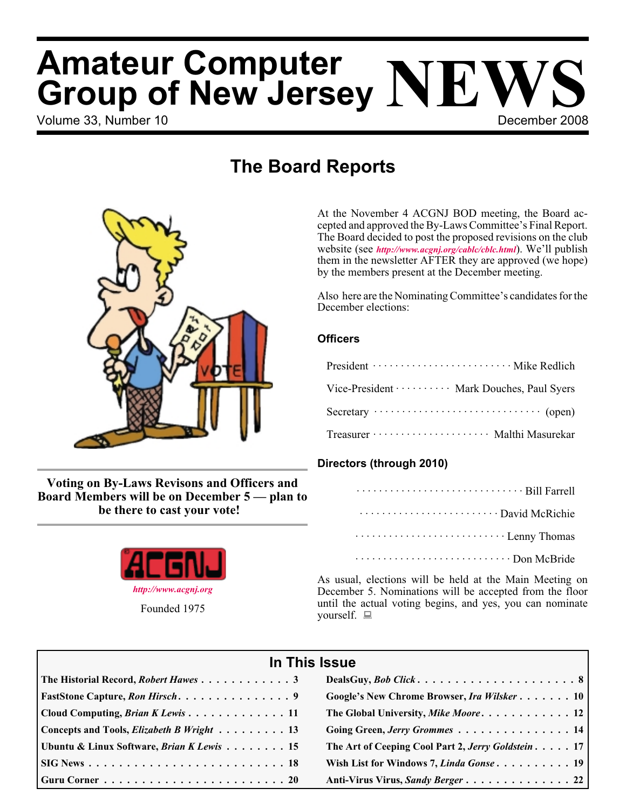# Volume 33. Number 10 **December 2008 Amateur Computer Group of New Jersey NEWS**

## **The Board Reports**



**Voting on By-Laws Revisons and Officers and Board Members will be on December 5 — plan to be there to cast your vote!**



At the November 4 ACGNJ BOD meeting, the Board accepted and approved the By-Laws Committee's Final Report. The Board decided to post the proposed revisions on the club website (see *<http://www.acgnj.org/cablc/cblc.html>*). We'll publish them in the newsletter AFTER they are approved (we hope) by the members present at the December meeting.

Also here are the Nominating Committee's candidates for the December elections:

#### **Officers**

| President ······························· Mike Redlich      |
|-------------------------------------------------------------|
| Vice-President · · · · · · · · · · Mark Douches, Paul Syers |
|                                                             |
| Treasurer ························· Malthi Masurekar        |

#### **Directors (through 2010)**

| Lenny Thomas |
|--------------|
|              |

As usual, elections will be held at the Main Meeting on December 5. Nominations will be accepted from the floor until the actual voting begins, and yes, you can nominate yourself.  $\Box$ 

| In This Issue                                                            |                                                    |  |  |  |
|--------------------------------------------------------------------------|----------------------------------------------------|--|--|--|
| The Historial Record, Robert Hawes 3                                     |                                                    |  |  |  |
|                                                                          | Google's New Chrome Browser, Ira Wilsker 10        |  |  |  |
| Cloud Computing, <i>Brian K Lewis</i> 11                                 | The Global University, Mike Moore 12               |  |  |  |
| Concepts and Tools, <i>Elizabeth B Wright</i> 13                         | Going Green, Jerry Grommes 14                      |  |  |  |
| Ubuntu & Linux Software, <i>Brian K Lewis</i> 15                         | The Art of Ceeping Cool Part 2, Jerry Goldstein 17 |  |  |  |
|                                                                          | Wish List for Windows 7, Linda Gonse 19            |  |  |  |
| Guru Corner $\ldots \ldots \ldots \ldots \ldots \ldots \ldots \ldots 20$ |                                                    |  |  |  |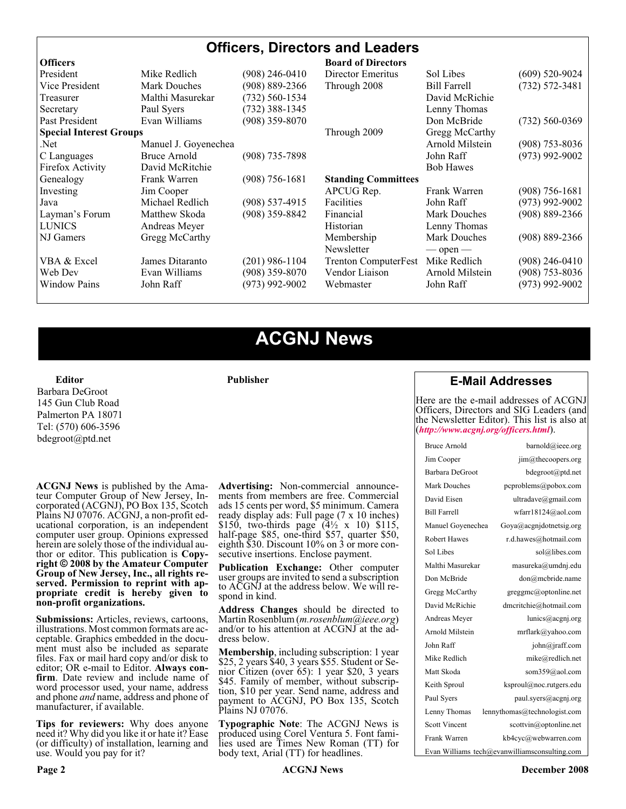| <b>Officers, Directors and Leaders</b> |                      |                    |                             |                     |                    |
|----------------------------------------|----------------------|--------------------|-----------------------------|---------------------|--------------------|
| <b>Officers</b>                        |                      |                    | <b>Board of Directors</b>   |                     |                    |
| President                              | Mike Redlich         | $(908)$ 246-0410   | Director Emeritus           | Sol Libes           | $(609)$ 520-9024   |
| Vice President                         | <b>Mark Douches</b>  | $(908) 889 - 2366$ | Through 2008                | <b>Bill Farrell</b> | $(732) 572 - 3481$ |
| Treasurer                              | Malthi Masurekar     | $(732) 560 - 1534$ |                             | David McRichie      |                    |
| Secretary                              | Paul Syers           | $(732)$ 388-1345   |                             | Lenny Thomas        |                    |
| Past President                         | Evan Williams        | $(908)$ 359-8070   |                             | Don McBride         | $(732)$ 560-0369   |
| <b>Special Interest Groups</b>         |                      |                    | Through 2009                | Gregg McCarthy      |                    |
| Net.                                   | Manuel J. Goyenechea |                    |                             | Arnold Milstein     | $(908)$ 753-8036   |
| C Languages                            | Bruce Arnold         | $(908)$ 735-7898   |                             | John Raff           | $(973)$ 992-9002   |
| Firefox Activity                       | David McRitchie      |                    |                             | <b>Bob Hawes</b>    |                    |
| Genealogy                              | Frank Warren         | $(908)$ 756-1681   | <b>Standing Committees</b>  |                     |                    |
| Investing                              | Jim Cooper           |                    | APCUG Rep.                  | Frank Warren        | $(908)$ 756-1681   |
| Java                                   | Michael Redlich      | $(908)$ 537-4915   | Facilities                  | John Raff           | $(973)$ 992-9002   |
| Layman's Forum                         | Matthew Skoda        | $(908)$ 359-8842   | Financial                   | <b>Mark Douches</b> | (908) 889-2366     |
| <b>LUNICS</b>                          | Andreas Meyer        |                    | Historian                   | Lenny Thomas        |                    |
| NJ Gamers                              | Gregg McCarthy       |                    | Membership                  | <b>Mark Douches</b> | $(908) 889 - 2366$ |
|                                        |                      |                    | Newsletter                  | $-$ open $-$        |                    |
| VBA & Excel                            | James Ditaranto      | $(201)$ 986-1104   | <b>Trenton ComputerFest</b> | Mike Redlich        | (908) 246-0410     |
| Web Dev                                | Evan Williams        | $(908)$ 359-8070   | Vendor Liaison              | Arnold Milstein     | $(908)$ 753-8036   |
| <b>Window Pains</b>                    | John Raff            | $(973)$ 992-9002   | Webmaster                   | John Raff           | (973) 992-9002     |
|                                        |                      |                    |                             |                     |                    |

### **ACGNJ News**

**Publisher**

**Editor** Barbara DeGroot 145 Gun Club Road Palmerton PA 18071 Tel: (570) 606-3596 bdegroot@ptd.net

**ACGNJ News** is published by the Ama- teur Computer Group of New Jersey, In- corporated (ACGNJ), PO Box 135, Scotch Plains NJ 07076. ACGNJ, a non-profit ed-<br>ucational corporation, is an independent computer user group. Opinions expressed herein are solely those of the individual author or editor. This publication is **Copy-**<br>**right** © 2008 by the Amateur Computer<br>**Group of New Jersey, Inc., all rights re-Group of New Jersey, Inc., all rights re- served. Permission to reprint with ap- propriate credit is hereby given to non-profit organizations.**

**Submissions:** Articles, reviews, cartoons, illustrations. Most common formats are ac- ceptable. Graphics embedded in the docu- ment must also be included as separate files. Fax or mail hard copy and/or disk to editor; OR e-mail to Editor. Always confirm. Date review and include name of word processor used, your name, address and phone *and* name, address and phone of manufacturer, if available.

**Tips for reviewers:** Why does anyone need it? Why did you like it or hate it? Ease (or difficulty) of installation, learning and use. Would you pay for it?

**Advertising:** Non-commercial announce- ments from members are free. Commercial ads 15 cents per word, \$5 minimum. Camera ready display ads: Full page (7 x 10 inches) \$150, two-thirds page  $(4\frac{1}{2} \times 10)$  \$115, half-page \$85, one-third \$57, quarter \$50, eighth \$30. Discount 10% on 3 or more con- secutive insertions. Enclose payment.

**Publication Exchange:** Other computer user groups are invited to send a subscription to ACGNJ at the address below. We will re- spond in kind.

**Address Changes** should be directed to Martin Rosenblum (*m.rosenblum@ieee.org*) and/or to his attention at ACGNJ at the ad- dress below.

**Membership**, including subscription: 1 year \$25, 2 years \$40, 3 years \$55. Student or Senior Citizen (over 65): 1 year \$20, 3 years \$45. Family of member, without subscription, \$10 per year. Send name, address and payment to ACGNJ, PO Box 135, Scotch Plains NJ 07076.

**Typographic Note**: The ACGNJ News is produced using Corel Ventura 5. Font fami- lies used are Times New Roman (TT) for body text, Arial (TT) for headlines.

#### **E-Mail Addresses**

Here are the e-mail addresses of ACGNJ Officers, Directors and SIG Leaders (and the Newsletter Editor). This list is also at (*<http://www.acgnj.org/officers.html>*).

| Bruce Arnold         | barnold@ieee.org                              |
|----------------------|-----------------------------------------------|
| Jim Cooper           | jim@thecoopers.org                            |
| Barbara DeGroot      | bdegroot@ptd.net                              |
| Mark Douches         | pcproblems@pobox.com                          |
| David Eisen          | ultradave@gmail.com                           |
| <b>Bill Farrell</b>  | wfarr18124@aol.com                            |
| Manuel Goyenechea    | Goya@acgnidotnetsig.org                       |
| <b>Robert Hawes</b>  | r.d.hawes@hotmail.com                         |
| Sol Libes            | sol@libes.com                                 |
| Malthi Masurekar     | masureka@umdnj.edu                            |
| Don McBride          | don@mcbride.name                              |
| Gregg McCarthy       | greggmc@optonline.net                         |
| David McRichie       | dmcritchie@hotmail.com                        |
| Andreas Meyer        | lunics@acgnj.org                              |
| Arnold Milstein      | mrflark@yahoo.com                             |
| John Raff            | $\overline{\text{iohn}(a)}$ raff.com          |
| Mike Redlich         | mike@redlich.net                              |
| Matt Skoda           | som359@aol.com                                |
| Keith Sproul         | ksproul@noc.rutgers.edu                       |
| Paul Syers           | paul.syers@acgnj.org                          |
| Lenny Thomas         | lennythomas@technologist.com                  |
| <b>Scott Vincent</b> | scottvin@optonline.net                        |
| Frank Warren         | kb4cyc@webwarren.com                          |
|                      | Evan Williams tech@evanwilliamsconsulting.com |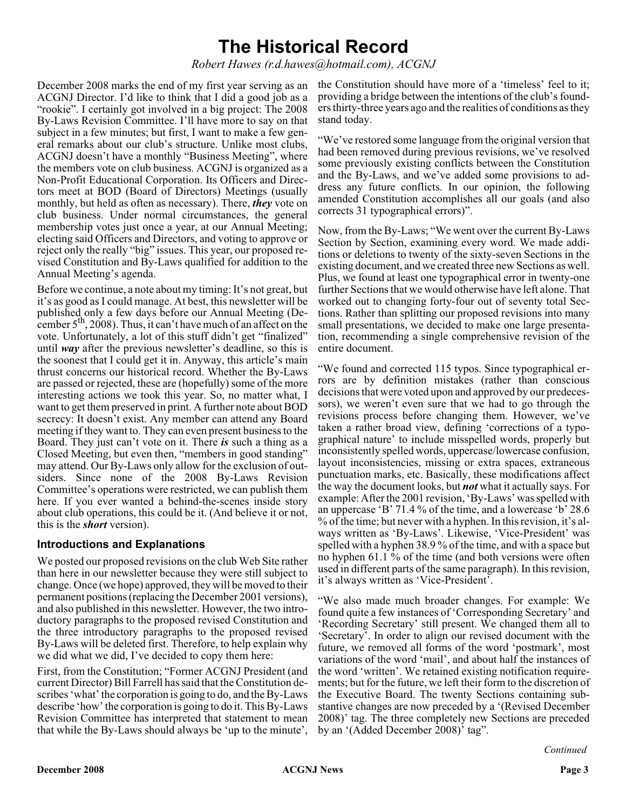### **The Historical Record**

*Robert Hawes (r.d.hawes@hotmail.com), ACGNJ*

December 2008 marks the end of my first year serving as an ACGNJ Director. I'd like to think that I did a good job as a "rookie". I certainly got involved in a big project: The 2008 By-Laws Revision Committee. I'll have more to say on that subject in a few minutes; but first, I want to make a few general remarks about our club's structure. Unlike most clubs, ACGNJ doesn't have a monthly "Business Meeting", where the members vote on club business. ACGNJ is organized as a Non-Profit Educational Corporation. Its Officers and Directors meet at BOD (Board of Directors) Meetings (usually monthly, but held as often as necessary). There, *they* vote on club business. Under normal circumstances, the general membership votes just once a year, at our Annual Meeting; electing said Officers and Directors, and voting to approve or reject only the really "big" issues. This year, our proposed revised Constitution and By-Laws qualified for addition to the Annual Meeting's agenda.

Before we continue, a note about my timing: It's not great, but it's as good as I could manage. At best, this newsletter will be published only a few days before our Annual Meeting (December  $5<sup>th</sup>$ , 2008). Thus, it can't have much of an affect on the vote. Unfortunately, a lot of this stuff didn't get "finalized" until *way* after the previous newsletter's deadline, so this is the soonest that I could get it in. Anyway, this article's main thrust concerns our historical record. Whether the By-Laws are passed or rejected, these are (hopefully) some of the more interesting actions we took this year. So, no matter what, I want to get them preserved in print. A further note about BOD secrecy: It doesn't exist. Any member can attend any Board meeting if they want to. They can even present business to the Board. They just can't vote on it. There *is* such a thing as a Closed Meeting, but even then, "members in good standing" may attend. Our By-Laws only allow for the exclusion of outsiders. Since none of the 2008 By-Laws Revision Committee's operations were restricted, we can publish them here. If you ever wanted a behind-the-scenes inside story about club operations, this could be it. (And believe it or not, this is the *short* version).

#### **Introductions and Explanations**

We posted our proposed revisions on the club Web Site rather than here in our newsletter because they were still subject to change. Once (we hope) approved, they will be moved to their permanent positions (replacing the December 2001 versions), and also published in this newsletter. However, the two introductory paragraphs to the proposed revised Constitution and the three introductory paragraphs to the proposed revised By-Laws will be deleted first. Therefore, to help explain why we did what we did, I've decided to copy them here:

First, from the Constitution; "Former ACGNJ President (and current Director) Bill Farrell has said that the Constitution describes 'what' the corporation is going to do, and the By-Laws describe 'how' the corporation is going to do it. This By-Laws Revision Committee has interpreted that statement to mean that while the By-Laws should always be 'up to the minute',

the Constitution should have more of a 'timeless' feel to it; providing a bridge between the intentions of the club's founders thirty-three years ago and the realities of conditions as they stand today.

"We've restored some language from the original version that had been removed during previous revisions, we've resolved some previously existing conflicts between the Constitution and the By-Laws, and we've added some provisions to address any future conflicts. In our opinion, the following amended Constitution accomplishes all our goals (and also corrects 31 typographical errors)".

Now, from the By-Laws; "We went over the current By-Laws Section by Section, examining every word. We made additions or deletions to twenty of the sixty-seven Sections in the existing document, and we created three new Sections as well. Plus, we found at least one typographical error in twenty-one further Sections that we would otherwise have left alone. That worked out to changing forty-four out of seventy total Sections. Rather than splitting our proposed revisions into many small presentations, we decided to make one large presentation, recommending a single comprehensive revision of the entire document.

"We found and corrected 115 typos. Since typographical errors are by definition mistakes (rather than conscious decisions that were voted upon and approved by our predecessors), we weren't even sure that we had to go through the revisions process before changing them. However, we've taken a rather broad view, defining 'corrections of a typographical nature' to include misspelled words, properly but inconsistently spelled words, uppercase/lowercase confusion, layout inconsistencies, missing or extra spaces, extraneous punctuation marks, etc. Basically, these modifications affect the way the document looks, but *not* what it actually says. For example: After the 2001 revision, 'By-Laws' was spelled with an uppercase 'B' 71.4 % of the time, and a lowercase 'b' 28.6 % of the time; but never with a hyphen. In this revision, it's always written as 'By-Laws'. Likewise, 'Vice-President' was spelled with a hyphen 38.9 % of the time, and with a space but no hyphen 61.1 % of the time (and both versions were often used in different parts of the same paragraph). In this revision, it's always written as 'Vice-President'.

"We also made much broader changes. For example: We found quite a few instances of 'Corresponding Secretary' and 'Recording Secretary' still present. We changed them all to 'Secretary'. In order to align our revised document with the future, we removed all forms of the word 'postmark', most variations of the word 'mail', and about half the instances of the word 'written'. We retained existing notification requirements; but for the future, we left their form to the discretion of the Executive Board. The twenty Sections containing substantive changes are now preceded by a '(Revised December 2008)' tag. The three completely new Sections are preceded by an '(Added December 2008)' tag".

*Continued*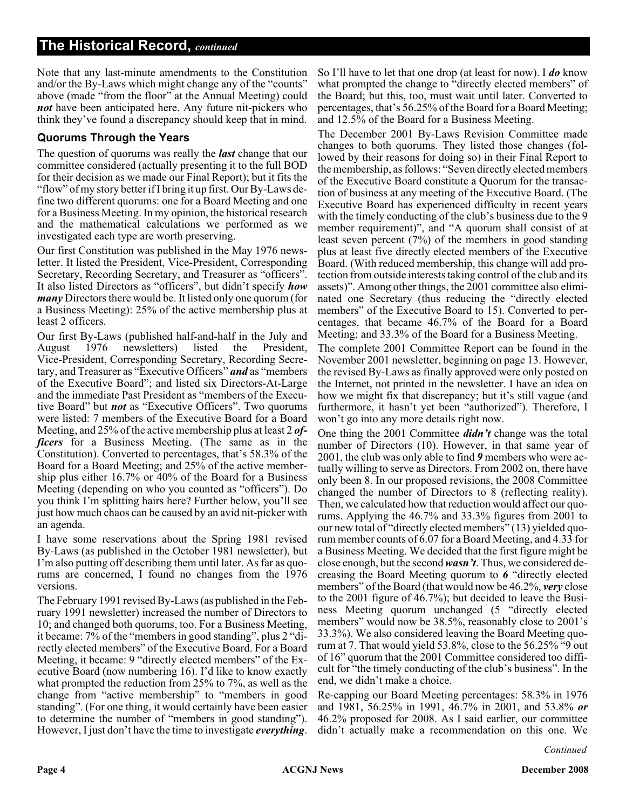Note that any last-minute amendments to the Constitution and/or the By-Laws which might change any of the "counts" above (made "from the floor" at the Annual Meeting) could *not* have been anticipated here. Any future nit-pickers who think they've found a discrepancy should keep that in mind.

#### **Quorums Through the Years**

The question of quorums was really the *last* change that our committee considered (actually presenting it to the full BOD for their decision as we made our Final Report); but it fits the "flow" of my story better if I bring it up first. Our By-Laws define two different quorums: one for a Board Meeting and one for a Business Meeting. In my opinion, the historical research and the mathematical calculations we performed as we investigated each type are worth preserving.

Our first Constitution was published in the May 1976 newsletter. It listed the President, Vice-President, Corresponding Secretary, Recording Secretary, and Treasurer as "officers". It also listed Directors as "officers", but didn't specify *how many* Directors there would be. It listed only one quorum (for a Business Meeting): 25% of the active membership plus at least 2 officers.

Our first By-Laws (published half-and-half in the July and August 1976 newsletters) listed the President, Vice-President, Corresponding Secretary, Recording Secretary, and Treasurer as "Executive Officers" *and* as "members of the Executive Board"; and listed six Directors-At-Large and the immediate Past President as "members of the Executive Board" but *not* as "Executive Officers". Two quorums were listed: 7 members of the Executive Board for a Board Meeting, and 25% of the active membership plus at least 2 *officers* for a Business Meeting. (The same as in the Constitution). Converted to percentages, that's 58.3% of the Board for a Board Meeting; and 25% of the active membership plus either 16.7% or 40% of the Board for a Business Meeting (depending on who you counted as "officers"). Do you think I'm splitting hairs here? Further below, you'll see just how much chaos can be caused by an avid nit-picker with an agenda.

I have some reservations about the Spring 1981 revised By-Laws (as published in the October 1981 newsletter), but I'm also putting off describing them until later. As far as quorums are concerned, I found no changes from the 1976 versions.

The February 1991 revised By-Laws (as published in the February 1991 newsletter) increased the number of Directors to 10; and changed both quorums, too. For a Business Meeting, it became: 7% of the "members in good standing", plus 2 "directly elected members" of the Executive Board. For a Board Meeting, it became: 9 "directly elected members" of the Executive Board (now numbering 16). I'd like to know exactly what prompted the reduction from 25% to 7%, as well as the change from "active membership" to "members in good standing". (For one thing, it would certainly have been easier to determine the number of "members in good standing"). However, I just don't have the time to investigate *everything*.

So I'll have to let that one drop (at least for now). I *do* know what prompted the change to "directly elected members" of the Board; but this, too, must wait until later. Converted to percentages, that's 56.25% of the Board for a Board Meeting; and 12.5% of the Board for a Business Meeting.

The December 2001 By-Laws Revision Committee made changes to both quorums. They listed those changes (followed by their reasons for doing so) in their Final Report to the membership, as follows: "Seven directly elected members of the Executive Board constitute a Quorum for the transaction of business at any meeting of the Executive Board. (The Executive Board has experienced difficulty in recent years with the timely conducting of the club's business due to the 9 member requirement)", and "A quorum shall consist of at least seven percent (7%) of the members in good standing plus at least five directly elected members of the Executive Board. (With reduced membership, this change will add protection from outside interests taking control of the club and its assets)". Among other things, the 2001 committee also eliminated one Secretary (thus reducing the "directly elected members" of the Executive Board to 15). Converted to percentages, that became 46.7% of the Board for a Board Meeting; and 33.3% of the Board for a Business Meeting.

The complete 2001 Committee Report can be found in the November 2001 newsletter, beginning on page 13. However, the revised By-Laws as finally approved were only posted on the Internet, not printed in the newsletter. I have an idea on how we might fix that discrepancy; but it's still vague (and furthermore, it hasn't yet been "authorized"). Therefore, I won't go into any more details right now.

One thing the 2001 Committee *didn't* change was the total number of Directors (10). However, in that same year of 2001, the club was only able to find *9* members who were actually willing to serve as Directors. From 2002 on, there have only been 8. In our proposed revisions, the 2008 Committee changed the number of Directors to 8 (reflecting reality). Then, we calculated how that reduction would affect our quorums. Applying the 46.7% and 33.3% figures from 2001 to our new total of "directly elected members" (13) yielded quorum member counts of 6.07 for a Board Meeting, and 4.33 for a Business Meeting. We decided that the first figure might be close enough, but the second *wasn't*. Thus, we considered decreasing the Board Meeting quorum to *6* "directly elected members" of the Board (that would now be 46.2%, *very* close to the 2001 figure of 46.7%); but decided to leave the Business Meeting quorum unchanged (5 "directly elected members" would now be 38.5%, reasonably close to 2001's 33.3%). We also considered leaving the Board Meeting quorum at 7. That would yield 53.8%, close to the 56.25% "9 out of 16" quorum that the 2001 Committee considered too difficult for "the timely conducting of the club's business". In the end, we didn't make a choice.

Re-capping our Board Meeting percentages: 58.3% in 1976 and 1981, 56.25% in 1991, 46.7% in 2001, and 53.8% *or* 46.2% proposed for 2008. As I said earlier, our committee didn't actually make a recommendation on this one. We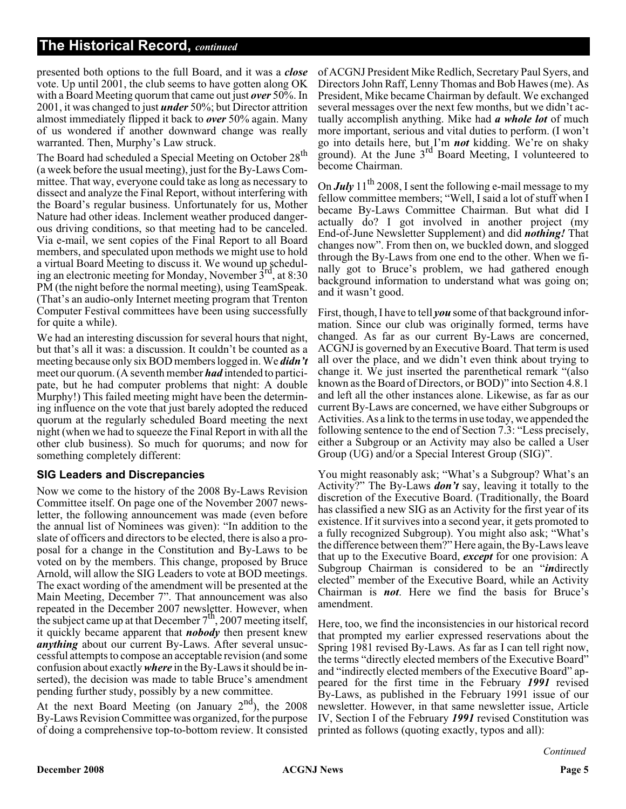presented both options to the full Board, and it was a *close* vote. Up until 2001, the club seems to have gotten along OK with a Board Meeting quorum that came out just *over* 50%. In 2001, it was changed to just *under* 50%; but Director attrition almost immediately flipped it back to *over* 50% again. Many of us wondered if another downward change was really warranted. Then, Murphy's Law struck.

The Board had scheduled a Special Meeting on October 28<sup>th</sup> (a week before the usual meeting), just for the By-Laws Committee. That way, everyone could take as long as necessary to dissect and analyze the Final Report, without interfering with the Board's regular business. Unfortunately for us, Mother Nature had other ideas. Inclement weather produced dangerous driving conditions, so that meeting had to be canceled. Via e-mail, we sent copies of the Final Report to all Board members, and speculated upon methods we might use to hold a virtual Board Meeting to discuss it. We wound up scheduling an electronic meeting for Monday, November  $3<sup>rd</sup>$ , at 8:30 PM (the night before the normal meeting), using TeamSpeak. (That's an audio-only Internet meeting program that Trenton Computer Festival committees have been using successfully for quite a while).

We had an interesting discussion for several hours that night, but that's all it was: a discussion. It couldn't be counted as a meeting because only six BOD members logged in. We *didn't* meet our quorum. (A seventh member *had* intended to participate, but he had computer problems that night: A double Murphy!) This failed meeting might have been the determining influence on the vote that just barely adopted the reduced quorum at the regularly scheduled Board meeting the next night (when we had to squeeze the Final Report in with all the other club business). So much for quorums; and now for something completely different:

#### **SIG Leaders and Discrepancies**

Now we come to the history of the 2008 By-Laws Revision Committee itself. On page one of the November 2007 newsletter, the following announcement was made (even before the annual list of Nominees was given): "In addition to the slate of officers and directors to be elected, there is also a proposal for a change in the Constitution and By-Laws to be voted on by the members. This change, proposed by Bruce Arnold, will allow the SIG Leaders to vote at BOD meetings. The exact wording of the amendment will be presented at the Main Meeting, December 7". That announcement was also repeated in the December 2007 newsletter. However, when the subject came up at that December  $7<sup>th</sup>$ , 2007 meeting itself, it quickly became apparent that *nobody* then present knew *anything* about our current By-Laws. After several unsuccessful attempts to compose an acceptable revision (and some confusion about exactly*where* in the By-Laws it should be inserted), the decision was made to table Bruce's amendment pending further study, possibly by a new committee.

At the next Board Meeting (on January  $2<sup>nd</sup>$ ), the 2008 By-Laws Revision Committee was organized, for the purpose of doing a comprehensive top-to-bottom review. It consisted

of ACGNJ President Mike Redlich, Secretary Paul Syers, and Directors John Raff, Lenny Thomas and Bob Hawes (me). As President, Mike became Chairman by default. We exchanged several messages over the next few months, but we didn't actually accomplish anything. Mike had *a whole lot* of much more important, serious and vital duties to perform. (I won't go into details here, but I'm *not* kidding. We're on shaky ground). At the June  $3<sup>rd</sup>$  Board Meeting, I volunteered to become Chairman.

On *July* 11<sup>th</sup> 2008, I sent the following e-mail message to my fellow committee members; "Well, I said a lot of stuff when I became By-Laws Committee Chairman. But what did I actually do? I got involved in another project (my End-of-June Newsletter Supplement) and did *nothing!* That changes now". From then on, we buckled down, and slogged through the By-Laws from one end to the other. When we finally got to Bruce's problem, we had gathered enough background information to understand what was going on; and it wasn't good.

First, though, I have to tell *you* some of that background information. Since our club was originally formed, terms have changed. As far as our current By-Laws are concerned, ACGNJ is governed by an Executive Board. That term is used all over the place, and we didn't even think about trying to change it. We just inserted the parenthetical remark "(also known as the Board of Directors, or BOD)" into Section 4.8.1 and left all the other instances alone. Likewise, as far as our current By-Laws are concerned, we have either Subgroups or Activities. As a link to the terms in use today, we appended the following sentence to the end of Section 7.3: "Less precisely, either a Subgroup or an Activity may also be called a User Group (UG) and/or a Special Interest Group (SIG)".

You might reasonably ask; "What's a Subgroup? What's an Activity?" The By-Laws *don't* say, leaving it totally to the discretion of the Executive Board. (Traditionally, the Board has classified a new SIG as an Activity for the first year of its existence. If it survives into a second year, it gets promoted to a fully recognized Subgroup). You might also ask; "What's the difference between them?" Here again, the By-Laws leave that up to the Executive Board, *except* for one provision: A Subgroup Chairman is considered to be an "*in*directly elected" member of the Executive Board, while an Activity Chairman is *not*. Here we find the basis for Bruce's amendment.

Here, too, we find the inconsistencies in our historical record that prompted my earlier expressed reservations about the Spring 1981 revised By-Laws. As far as I can tell right now, the terms "directly elected members of the Executive Board" and "indirectly elected members of the Executive Board" appeared for the first time in the February *1991* revised By-Laws, as published in the February 1991 issue of our newsletter. However, in that same newsletter issue, Article IV, Section I of the February *1991* revised Constitution was printed as follows (quoting exactly, typos and all):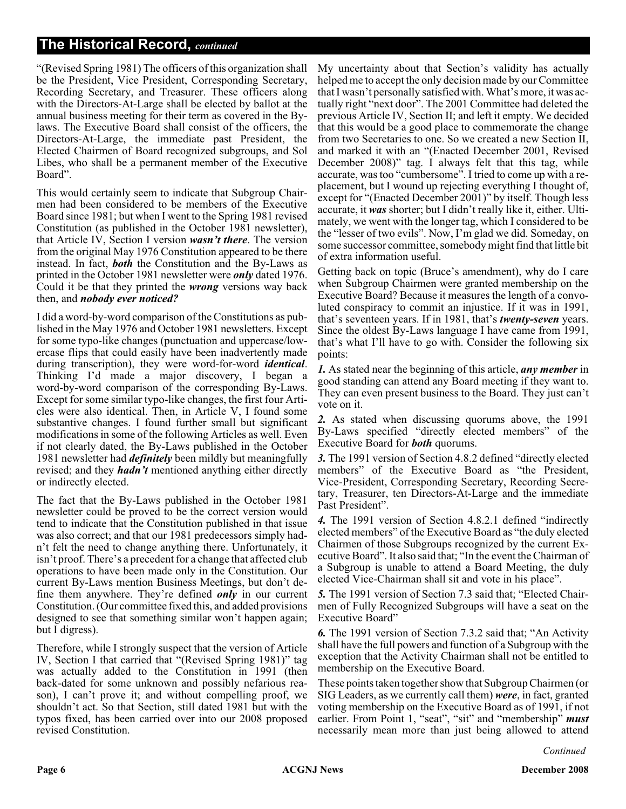"(Revised Spring 1981) The officers of this organization shall be the President, Vice President, Corresponding Secretary, Recording Secretary, and Treasurer. These officers along with the Directors-At-Large shall be elected by ballot at the annual business meeting for their term as covered in the Bylaws. The Executive Board shall consist of the officers, the Directors-At-Large, the immediate past President, the Elected Chairmen of Board recognized subgroups, and Sol Libes, who shall be a permanent member of the Executive Board".

This would certainly seem to indicate that Subgroup Chairmen had been considered to be members of the Executive Board since 1981; but when I went to the Spring 1981 revised Constitution (as published in the October 1981 newsletter), that Article IV, Section I version *wasn't there*. The version from the original May 1976 Constitution appeared to be there instead. In fact, *both* the Constitution and the By-Laws as printed in the October 1981 newsletter were *only* dated 1976. Could it be that they printed the *wrong* versions way back then, and *nobody ever noticed?*

I did a word-by-word comparison of the Constitutions as published in the May 1976 and October 1981 newsletters. Except for some typo-like changes (punctuation and uppercase/lowercase flips that could easily have been inadvertently made during transcription), they were word-for-word *identical*. Thinking I'd made a major discovery, I began a word-by-word comparison of the corresponding By-Laws. Except for some similar typo-like changes, the first four Articles were also identical. Then, in Article V, I found some substantive changes. I found further small but significant modifications in some of the following Articles as well. Even if not clearly dated, the By-Laws published in the October 1981 newsletter had *definitely* been mildly but meaningfully revised; and they *hadn't* mentioned anything either directly or indirectly elected.

The fact that the By-Laws published in the October 1981 newsletter could be proved to be the correct version would tend to indicate that the Constitution published in that issue was also correct; and that our 1981 predecessors simply hadn't felt the need to change anything there. Unfortunately, it isn't proof. There's a precedent for a change that affected club operations to have been made only in the Constitution. Our current By-Laws mention Business Meetings, but don't define them anywhere. They're defined *only* in our current Constitution. (Our committee fixed this, and added provisions designed to see that something similar won't happen again; but I digress).

Therefore, while I strongly suspect that the version of Article IV, Section I that carried that "(Revised Spring 1981)" tag was actually added to the Constitution in 1991 (then back-dated for some unknown and possibly nefarious reason), I can't prove it; and without compelling proof, we shouldn't act. So that Section, still dated 1981 but with the typos fixed, has been carried over into our 2008 proposed revised Constitution.

My uncertainty about that Section's validity has actually helped me to accept the only decision made by our Committee that I wasn't personally satisfied with. What's more, it was actually right "next door". The 2001 Committee had deleted the previous Article IV, Section II; and left it empty. We decided that this would be a good place to commemorate the change from two Secretaries to one. So we created a new Section II, and marked it with an "(Enacted December 2001, Revised December 2008)" tag. I always felt that this tag, while accurate, was too "cumbersome". I tried to come up with a replacement, but I wound up rejecting everything I thought of, except for "(Enacted December 2001)" by itself. Though less accurate, it *was* shorter; but I didn't really like it, either. Ultimately, we went with the longer tag, which I considered to be the "lesser of two evils". Now, I'm glad we did. Someday, on some successor committee, somebody might find that little bit of extra information useful.

Getting back on topic (Bruce's amendment), why do I care when Subgroup Chairmen were granted membership on the Executive Board? Because it measures the length of a convoluted conspiracy to commit an injustice. If it was in 1991, that's seventeen years. If in 1981, that's *twenty-seven* years. Since the oldest By-Laws language I have came from 1991, that's what I'll have to go with. Consider the following six points:

*1.* As stated near the beginning of this article, *any member* in good standing can attend any Board meeting if they want to. They can even present business to the Board. They just can't vote on it.

*2.* As stated when discussing quorums above, the 1991 By-Laws specified "directly elected members" of the Executive Board for *both* quorums.

*3.* The 1991 version of Section 4.8.2 defined "directly elected members" of the Executive Board as "the President, Vice-President, Corresponding Secretary, Recording Secretary, Treasurer, ten Directors-At-Large and the immediate Past President".

*4.* The 1991 version of Section 4.8.2.1 defined "indirectly elected members" of the Executive Board as "the duly elected Chairmen of those Subgroups recognized by the current Executive Board". It also said that; "In the event the Chairman of a Subgroup is unable to attend a Board Meeting, the duly elected Vice-Chairman shall sit and vote in his place".

*5.* The 1991 version of Section 7.3 said that; "Elected Chairmen of Fully Recognized Subgroups will have a seat on the Executive Board"

*6.* The 1991 version of Section 7.3.2 said that; "An Activity shall have the full powers and function of a Subgroup with the exception that the Activity Chairman shall not be entitled to membership on the Executive Board.

These points taken together show that Subgroup Chairmen (or SIG Leaders, as we currently call them) *were*, in fact, granted voting membership on the Executive Board as of 1991, if not earlier. From Point 1, "seat", "sit" and "membership" *must* necessarily mean more than just being allowed to attend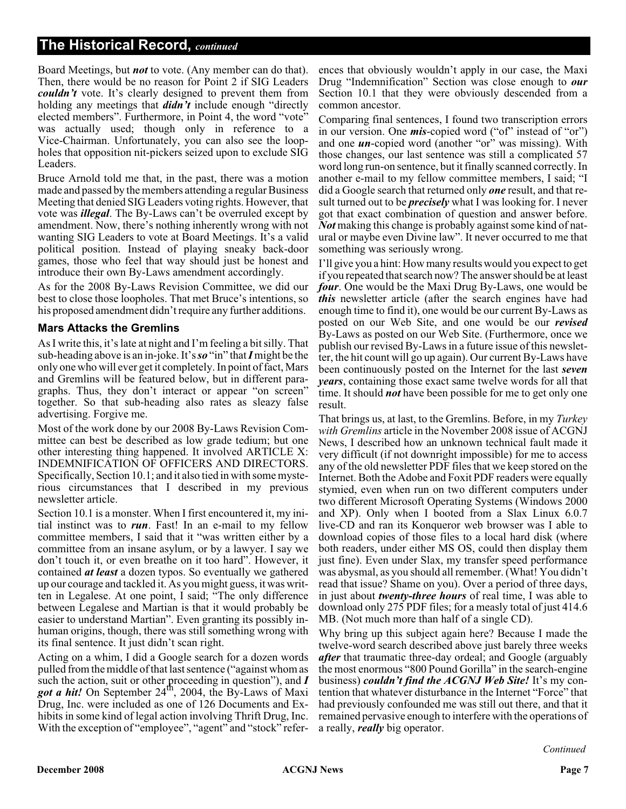Board Meetings, but *not* to vote. (Any member can do that). Then, there would be no reason for Point 2 if SIG Leaders *couldn't* vote. It's clearly designed to prevent them from holding any meetings that *didn't* include enough "directly elected members". Furthermore, in Point 4, the word "vote" was actually used; though only in reference to a Vice-Chairman. Unfortunately, you can also see the loopholes that opposition nit-pickers seized upon to exclude SIG Leaders.

Bruce Arnold told me that, in the past, there was a motion made and passed by the members attending a regular Business Meeting that denied SIG Leaders voting rights. However, that vote was *illegal*. The By-Laws can't be overruled except by amendment. Now, there's nothing inherently wrong with not wanting SIG Leaders to vote at Board Meetings. It's a valid political position. Instead of playing sneaky back-door games, those who feel that way should just be honest and introduce their own By-Laws amendment accordingly.

As for the 2008 By-Laws Revision Committee, we did our best to close those loopholes. That met Bruce's intentions, so his proposed amendment didn't require any further additions.

#### **Mars Attacks the Gremlins**

As I write this, it's late at night and I'm feeling a bit silly. That sub-heading above is an in-joke. It's*so* "in" that*I*might be the only one who will ever get it completely. In point of fact, Mars and Gremlins will be featured below, but in different paragraphs. Thus, they don't interact or appear "on screen" together. So that sub-heading also rates as sleazy false advertising. Forgive me.

Most of the work done by our 2008 By-Laws Revision Committee can best be described as low grade tedium; but one other interesting thing happened. It involved ARTICLE X: INDEMNIFICATION OF OFFICERS AND DIRECTORS. Specifically, Section 10.1; and it also tied in with some mysterious circumstances that I described in my previous newsletter article.

Section 10.1 is a monster. When I first encountered it, my initial instinct was to *run*. Fast! In an e-mail to my fellow committee members, I said that it "was written either by a committee from an insane asylum, or by a lawyer. I say we don't touch it, or even breathe on it too hard". However, it contained *at least* a dozen typos. So eventually we gathered up our courage and tackled it. As you might guess, it was written in Legalese. At one point, I said; "The only difference between Legalese and Martian is that it would probably be easier to understand Martian". Even granting its possibly inhuman origins, though, there was still something wrong with its final sentence. It just didn't scan right.

Acting on a whim, I did a Google search for a dozen words pulled from the middle of that last sentence ("against whom as such the action, suit or other proceeding in question"), and *I* got a hit! On September 24<sup>th</sup>, 2004, the By-Laws of Maxi Drug, Inc. were included as one of 126 Documents and Exhibits in some kind of legal action involving Thrift Drug, Inc. With the exception of "employee", "agent" and "stock" refer-

ences that obviously wouldn't apply in our case, the Maxi Drug "Indemnification" Section was close enough to *our* Section 10.1 that they were obviously descended from a common ancestor.

Comparing final sentences, I found two transcription errors in our version. One **mis**-copied word ("of" instead of "or") and one *un*-copied word (another "or" was missing). With those changes, our last sentence was still a complicated 57 word long run-on sentence, but it finally scanned correctly. In another e-mail to my fellow committee members, I said; "I did a Google search that returned only *one* result, and that result turned out to be *precisely* what I was looking for. I never got that exact combination of question and answer before. *Not* making this change is probably against some kind of natural or maybe even Divine law". It never occurred to me that something was seriously wrong.

I'll give you a hint: How many results would you expect to get if you repeated that search now? The answer should be at least *four*. One would be the Maxi Drug By-Laws, one would be *this* newsletter article (after the search engines have had enough time to find it), one would be our current By-Laws as posted on our Web Site, and one would be our *revised* By-Laws as posted on our Web Site. (Furthermore, once we publish our revised By-Laws in a future issue of this newsletter, the hit count will go up again). Our current By-Laws have been continuously posted on the Internet for the last *seven years*, containing those exact same twelve words for all that time. It should *not* have been possible for me to get only one result.

That brings us, at last, to the Gremlins. Before, in my *Turkey with Gremlins* article in the November 2008 issue of ACGNJ News, I described how an unknown technical fault made it very difficult (if not downright impossible) for me to access any of the old newsletter PDF files that we keep stored on the Internet. Both the Adobe and Foxit PDF readers were equally stymied, even when run on two different computers under two different Microsoft Operating Systems (Windows 2000 and XP). Only when I booted from a Slax Linux 6.0.7 live-CD and ran its Konqueror web browser was I able to download copies of those files to a local hard disk (where both readers, under either MS OS, could then display them just fine). Even under Slax, my transfer speed performance was abysmal, as you should all remember. (What! You didn't read that issue? Shame on you). Over a period of three days, in just about *twenty-three hours* of real time, I was able to download only 275 PDF files; for a measly total of just 414.6 MB. (Not much more than half of a single CD).

Why bring up this subject again here? Because I made the twelve-word search described above just barely three weeks *after* that traumatic three-day ordeal; and Google (arguably the most enormous "800 Pound Gorilla" in the search-engine business) *couldn't find the ACGNJ Web Site!* It's my contention that whatever disturbance in the Internet "Force" that had previously confounded me was still out there, and that it remained pervasive enough to interfere with the operations of a really, *really* big operator.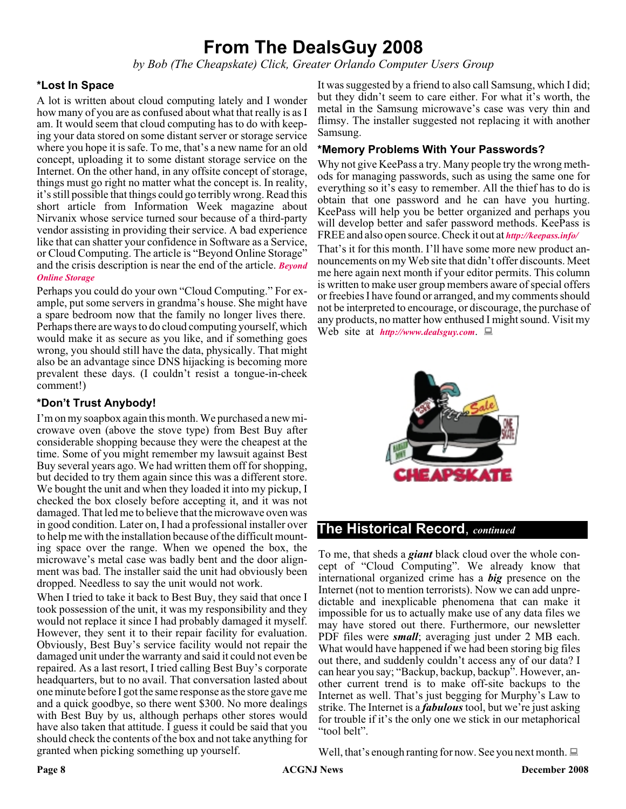### **From The DealsGuy 2008**

*by Bob (The Cheapskate) Click, Greater Orlando Computer Users Group*

#### **\*Lost In Space**

A lot is written about cloud computing lately and I wonder how many of you are as confused about what that really is as I am. It would seem that cloud computing has to do with keeping your data stored on some distant server or storage service where you hope it is safe. To me, that's a new name for an old concept, uploading it to some distant storage service on the Internet. On the other hand, in any offsite concept of storage, things must go right no matter what the concept is. In reality, it's still possible that things could go terribly wrong. Read this short article from Information Week magazine about Nirvanix whose service turned sour because of a third-party vendor assisting in providing their service. A bad experience like that can shatter your confidence in Software as a Service, or Cloud Computing. The article is "Beyond Online Storage" and the crisis description is near the end of the article. *[Beyond](http://www.informationweek.com/news/software/hosted/showArticle.jhtml?articleID=210602537&pgno=4 ) Online Storage*

Perhaps you could do your own "Cloud Computing." For example, put some servers in grandma's house. She might have a spare bedroom now that the family no longer lives there. Perhaps there are ways to do cloud computing yourself, which would make it as secure as you like, and if something goes wrong, you should still have the data, physically. That might also be an advantage since DNS hijacking is becoming more prevalent these days. (I couldn't resist a tongue-in-cheek comment!)

#### **\*Don't Trust Anybody!**

I'm on my soapbox again this month. We purchased a new microwave oven (above the stove type) from Best Buy after considerable shopping because they were the cheapest at the time. Some of you might remember my lawsuit against Best Buy several years ago. We had written them off for shopping, but decided to try them again since this was a different store. We bought the unit and when they loaded it into my pickup, I checked the box closely before accepting it, and it was not damaged. That led me to believe that the microwave oven was in good condition. Later on, I had a professional installer over to help me with the installation because of the difficult mounting space over the range. When we opened the box, the microwave's metal case was badly bent and the door alignment was bad. The installer said the unit had obviously been dropped. Needless to say the unit would not work.

When I tried to take it back to Best Buy, they said that once I took possession of the unit, it was my responsibility and they would not replace it since I had probably damaged it myself. However, they sent it to their repair facility for evaluation. Obviously, Best Buy's service facility would not repair the damaged unit under the warranty and said it could not even be repaired. As a last resort, I tried calling Best Buy's corporate headquarters, but to no avail. That conversation lasted about one minute before I got the same response as the store gave me and a quick goodbye, so there went \$300. No more dealings with Best Buy by us, although perhaps other stores would have also taken that attitude. I guess it could be said that you should check the contents of the box and not take anything for granted when picking something up yourself.

It was suggested by a friend to also call Samsung, which I did; but they didn't seem to care either. For what it's worth, the metal in the Samsung microwave's case was very thin and flimsy. The installer suggested not replacing it with another Samsung.

#### **\*Memory Problems With Your Passwords?**

Why not give KeePass a try. Many people try the wrong methods for managing passwords, such as using the same one for everything so it's easy to remember. All the thief has to do is obtain that one password and he can have you hurting. KeePass will help you be better organized and perhaps you will develop better and safer password methods. KeePass is FREE and also open source. Check it out at *<http://keepass.info/>*

That's it for this month. I'll have some more new product announcements on my Web site that didn't offer discounts. Meet me here again next month if your editor permits. This column is written to make user group members aware of special offers or freebies I have found or arranged, and my comments should not be interpreted to encourage, or discourage, the purchase of any products, no matter how enthused I might sound. Visit my Web site at *<http://www.dealsguy.com>*.



#### **The Historical Record**, *continued*

To me, that sheds a *giant* black cloud over the whole concept of "Cloud Computing". We already know that international organized crime has a *big* presence on the Internet (not to mention terrorists). Now we can add unpredictable and inexplicable phenomena that can make it impossible for us to actually make use of any data files we may have stored out there. Furthermore, our newsletter PDF files were *small*; averaging just under 2 MB each. What would have happened if we had been storing big files out there, and suddenly couldn't access any of our data? I can hear you say; "Backup, backup, backup". However, another current trend is to make off-site backups to the Internet as well. That's just begging for Murphy's Law to strike. The Internet is a *fabulous* tool, but we're just asking for trouble if it's the only one we stick in our metaphorical "tool belt".

Well, that's enough ranting for now. See you next month.  $\Box$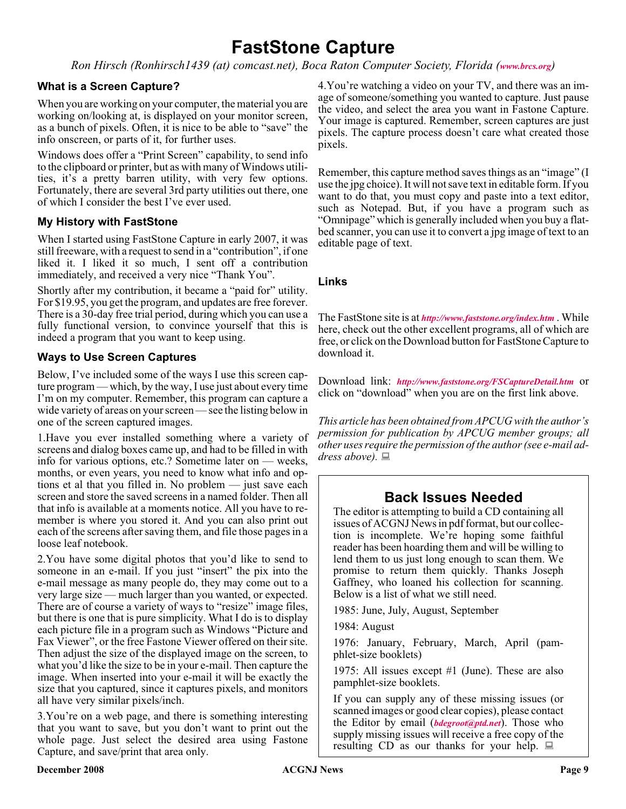## **FastStone Capture**

*Ron Hirsch (Ronhirsch1439 (at) comcast.net), Boca Raton Computer Society, Florida ([www.brcs.org](http://www.brcs.org))*

#### **What is a Screen Capture?**

When you are working on your computer, the material you are working on/looking at, is displayed on your monitor screen, as a bunch of pixels. Often, it is nice to be able to "save" the info onscreen, or parts of it, for further uses.

Windows does offer a "Print Screen" capability, to send info to the clipboard or printer, but as with many of Windows utilities, it's a pretty barren utility, with very few options. Fortunately, there are several 3rd party utilities out there, one of which I consider the best I've ever used.

#### **My History with FastStone**

When I started using FastStone Capture in early 2007, it was still freeware, with a request to send in a "contribution", if one liked it. I liked it so much, I sent off a contribution immediately, and received a very nice "Thank You".

Shortly after my contribution, it became a "paid for" utility. For \$19.95, you get the program, and updates are free forever. There is a 30-day free trial period, during which you can use a fully functional version, to convince yourself that this is indeed a program that you want to keep using.

#### **Ways to Use Screen Captures**

Below, I've included some of the ways I use this screen capture program — which, by the way, I use just about every time I'm on my computer. Remember, this program can capture a wide variety of areas on your screen — see the listing below in one of the screen captured images.

1.Have you ever installed something where a variety of screens and dialog boxes came up, and had to be filled in with info for various options, etc.? Sometime later on — weeks, months, or even years, you need to know what info and options et al that you filled in. No problem — just save each screen and store the saved screens in a named folder. Then all that info is available at a moments notice. All you have to remember is where you stored it. And you can also print out each of the screens after saving them, and file those pages in a loose leaf notebook.

2.You have some digital photos that you'd like to send to someone in an e-mail. If you just "insert" the pix into the e-mail message as many people do, they may come out to a very large size — much larger than you wanted, or expected. There are of course a variety of ways to "resize" image files, but there is one that is pure simplicity. What I do is to display each picture file in a program such as Windows "Picture and Fax Viewer", or the free Fastone Viewer offered on their site. Then adjust the size of the displayed image on the screen, to what you'd like the size to be in your e-mail. Then capture the image. When inserted into your e-mail it will be exactly the size that you captured, since it captures pixels, and monitors all have very similar pixels/inch.

3.You're on a web page, and there is something interesting that you want to save, but you don't want to print out the whole page. Just select the desired area using Fastone Capture, and save/print that area only.

4.You're watching a video on your TV, and there was an image of someone/something you wanted to capture. Just pause the video, and select the area you want in Fastone Capture. Your image is captured. Remember, screen captures are just pixels. The capture process doesn't care what created those pixels.

Remember, this capture method saves things as an "image" (I use the jpg choice). It will not save text in editable form. If you want to do that, you must copy and paste into a text editor, such as Notepad. But, if you have a program such as "Omnipage" which is generally included when you buy a flatbed scanner, you can use it to convert a jpg image of text to an editable page of text.

#### **Links**

The FastStone site is at *<http://www.faststone.org/index.htm>* . While here, check out the other excellent programs, all of which are free, or click on the Download button for FastStone Capture to download it.

Download link: *<http://www.faststone.org/FSCaptureDetail.htm>* or click on "download" when you are on the first link above.

*This article has been obtained from APCUG with the author's permission for publication by APCUG member groups; all other uses require the permission of the author (see e-mail address above).*

#### **Back Issues Needed**

The editor is attempting to build a CD containing all issues of ACGNJ News in pdf format, but our collection is incomplete. We're hoping some faithful reader has been hoarding them and will be willing to lend them to us just long enough to scan them. We promise to return them quickly. Thanks Joseph Gaffney, who loaned his collection for scanning. Below is a list of what we still need.

1985: June, July, August, September

1984: August

1976: January, February, March, April (pamphlet-size booklets)

1975: All issues except #1 (June). These are also pamphlet-size booklets.

If you can supply any of these missing issues (or scanned images or good clear copies), please contact the Editor by email (*[bdegroot@ptd.net](mailto:bdegroot@ptd.net)*). Those who supply missing issues will receive a free copy of the resulting CD as our thanks for your help.  $\Box$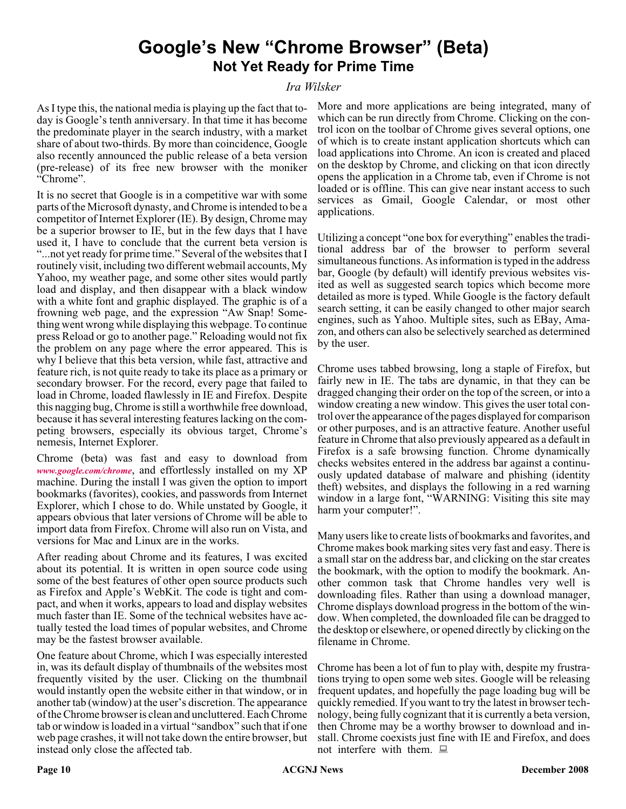### **Google's New "Chrome Browser" (Beta) Not Yet Ready for Prime Time**

#### *Ira Wilsker*

As I type this, the national media is playing up the fact that today is Google's tenth anniversary. In that time it has become the predominate player in the search industry, with a market share of about two-thirds. By more than coincidence, Google also recently announced the public release of a beta version (pre-release) of its free new browser with the moniker "Chrome".

It is no secret that Google is in a competitive war with some parts of the Microsoft dynasty, and Chrome is intended to be a competitor of Internet Explorer (IE). By design, Chrome may be a superior browser to IE, but in the few days that I have used it, I have to conclude that the current beta version is "...not yet ready for prime time." Several of the websites that I routinely visit, including two different webmail accounts, My Yahoo, my weather page, and some other sites would partly load and display, and then disappear with a black window with a white font and graphic displayed. The graphic is of a frowning web page, and the expression "Aw Snap! Something went wrong while displaying this webpage. To continue press Reload or go to another page." Reloading would not fix the problem on any page where the error appeared. This is why I believe that this beta version, while fast, attractive and feature rich, is not quite ready to take its place as a primary or secondary browser. For the record, every page that failed to load in Chrome, loaded flawlessly in IE and Firefox. Despite this nagging bug, Chrome is still a worthwhile free download, because it has several interesting features lacking on the competing browsers, especially its obvious target, Chrome's nemesis, Internet Explorer.

Chrome (beta) was fast and easy to download from *[www.google.com/chrome](http://www.google.com/chrome)*, and effortlessly installed on my XP machine. During the install I was given the option to import bookmarks (favorites), cookies, and passwords from Internet Explorer, which I chose to do. While unstated by Google, it appears obvious that later versions of Chrome will be able to import data from Firefox. Chrome will also run on Vista, and versions for Mac and Linux are in the works.

After reading about Chrome and its features, I was excited about its potential. It is written in open source code using some of the best features of other open source products such as Firefox and Apple's WebKit. The code is tight and compact, and when it works, appears to load and display websites much faster than IE. Some of the technical websites have actually tested the load times of popular websites, and Chrome may be the fastest browser available.

One feature about Chrome, which I was especially interested in, was its default display of thumbnails of the websites most frequently visited by the user. Clicking on the thumbnail would instantly open the website either in that window, or in another tab (window) at the user's discretion. The appearance of the Chrome browser is clean and uncluttered. Each Chrome tab or window is loaded in a virtual "sandbox" such that if one web page crashes, it will not take down the entire browser, but instead only close the affected tab.

More and more applications are being integrated, many of which can be run directly from Chrome. Clicking on the control icon on the toolbar of Chrome gives several options, one of which is to create instant application shortcuts which can load applications into Chrome. An icon is created and placed on the desktop by Chrome, and clicking on that icon directly opens the application in a Chrome tab, even if Chrome is not loaded or is offline. This can give near instant access to such services as Gmail, Google Calendar, or most other applications.

Utilizing a concept "one box for everything" enables the traditional address bar of the browser to perform several simultaneous functions. As information is typed in the address bar, Google (by default) will identify previous websites visited as well as suggested search topics which become more detailed as more is typed. While Google is the factory default search setting, it can be easily changed to other major search engines, such as Yahoo. Multiple sites, such as EBay, Amazon, and others can also be selectively searched as determined by the user.

Chrome uses tabbed browsing, long a staple of Firefox, but fairly new in IE. The tabs are dynamic, in that they can be dragged changing their order on the top of the screen, or into a window creating a new window. This gives the user total control over the appearance of the pages displayed for comparison or other purposes, and is an attractive feature. Another useful feature in Chrome that also previously appeared as a default in Firefox is a safe browsing function. Chrome dynamically checks websites entered in the address bar against a continuously updated database of malware and phishing (identity theft) websites, and displays the following in a red warning window in a large font, "WARNING: Visiting this site may harm your computer!".

Many users like to create lists of bookmarks and favorites, and Chrome makes book marking sites very fast and easy. There is a small star on the address bar, and clicking on the star creates the bookmark, with the option to modify the bookmark. Another common task that Chrome handles very well is downloading files. Rather than using a download manager, Chrome displays download progress in the bottom of the window. When completed, the downloaded file can be dragged to the desktop or elsewhere, or opened directly by clicking on the filename in Chrome.

Chrome has been a lot of fun to play with, despite my frustrations trying to open some web sites. Google will be releasing frequent updates, and hopefully the page loading bug will be quickly remedied. If you want to try the latest in browser technology, being fully cognizant that it is currently a beta version, then Chrome may be a worthy browser to download and install. Chrome coexists just fine with IE and Firefox, and does not interfere with them.  $\Box$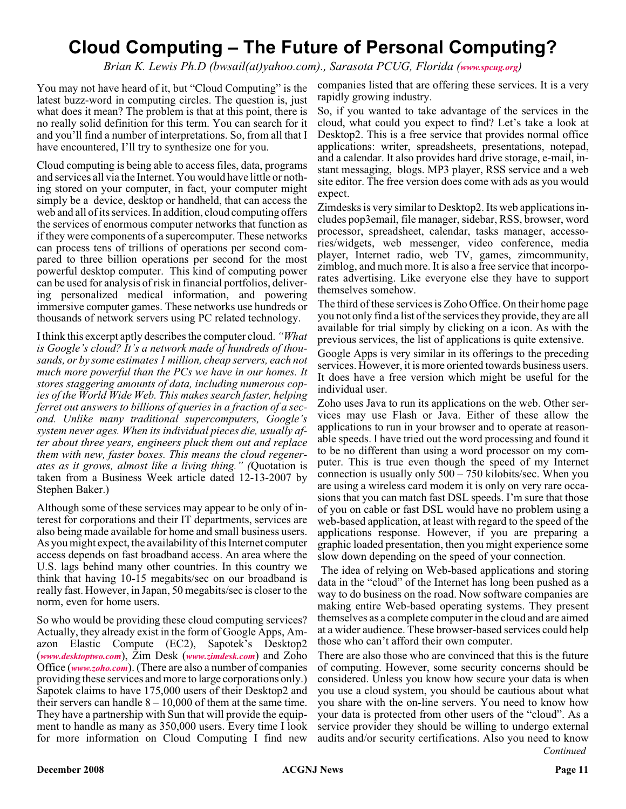### **Cloud Computing – The Future of Personal Computing?**

*Brian K. Lewis Ph.D (bwsail(at)yahoo.com)., Sarasota PCUG, Florida ([www.spcug.org](http://www.spcug.org))*

You may not have heard of it, but "Cloud Computing" is the latest buzz-word in computing circles. The question is, just what does it mean? The problem is that at this point, there is no really solid definition for this term. You can search for it and you'll find a number of interpretations. So, from all that I have encountered, I'll try to synthesize one for you.

Cloud computing is being able to access files, data, programs and services all via the Internet. You would have little or nothing stored on your computer, in fact, your computer might simply be a device, desktop or handheld, that can access the web and all of its services. In addition, cloud computing offers the services of enormous computer networks that function as if they were components of a supercomputer. These networks can process tens of trillions of operations per second compared to three billion operations per second for the most powerful desktop computer. This kind of computing power can be used for analysis of risk in financial portfolios, delivering personalized medical information, and powering immersive computer games. These networks use hundreds or thousands of network servers using PC related technology.

I think this excerpt aptly describes the computer cloud. *"What is Google's cloud? It's a network made of hundreds of thousands, or by some estimates 1 million, cheap servers, each not much more powerful than the PCs we have in our homes. It stores staggering amounts of data, including numerous copies of the World Wide Web. This makes search faster, helping ferret out answers to billions of queries in a fraction of a second. Unlike many traditional supercomputers, Google's system never ages. When its individual pieces die, usually after about three years, engineers pluck them out and replace them with new, faster boxes. This means the cloud regenerates as it grows, almost like a living thing." (*Quotation is taken from a Business Week article dated 12-13-2007 by Stephen Baker.)

Although some of these services may appear to be only of interest for corporations and their IT departments, services are also being made available for home and small business users. As you might expect, the availability of this Internet computer access depends on fast broadband access. An area where the U.S. lags behind many other countries. In this country we think that having 10-15 megabits/sec on our broadband is really fast. However, in Japan, 50 megabits/sec is closer to the norm, even for home users.

So who would be providing these cloud computing services? Actually, they already exist in the form of Google Apps, Amazon Elastic Compute (EC2), Sapotek's Desktop2 (*[www.desktoptwo.com](http://www.desktoptwo.com)*), Zim Desk (*[www.zimdesk.com](http://www.zimdesk.com)*) and Zoho Office (*[www.zoho.com](http://www.zoho.com)*). (There are also a number of companies providing these services and more to large corporations only.) Sapotek claims to have 175,000 users of their Desktop2 and their servers can handle  $8 - 10,000$  of them at the same time. They have a partnership with Sun that will provide the equipment to handle as many as 350,000 users. Every time I look for more information on Cloud Computing I find new

companies listed that are offering these services. It is a very rapidly growing industry.

So, if you wanted to take advantage of the services in the cloud, what could you expect to find? Let's take a look at Desktop2. This is a free service that provides normal office applications: writer, spreadsheets, presentations, notepad, and a calendar. It also provides hard drive storage, e-mail, instant messaging, blogs. MP3 player, RSS service and a web site editor. The free version does come with ads as you would expect.

Zimdesks is very similar to Desktop2. Its web applications includes pop3email, file manager, sidebar, RSS, browser, word processor, spreadsheet, calendar, tasks manager, accessories/widgets, web messenger, video conference, media player, Internet radio, web TV, games, zimcommunity, zimblog, and much more. It is also a free service that incorporates advertising. Like everyone else they have to support themselves somehow.

The third of these services is Zoho Office. On their home page you not only find a list of the services they provide, they are all available for trial simply by clicking on a icon. As with the previous services, the list of applications is quite extensive.

Google Apps is very similar in its offerings to the preceding services. However, it is more oriented towards business users. It does have a free version which might be useful for the individual user.

Zoho uses Java to run its applications on the web. Other services may use Flash or Java. Either of these allow the applications to run in your browser and to operate at reasonable speeds. I have tried out the word processing and found it to be no different than using a word processor on my computer. This is true even though the speed of my Internet connection is usually only 500 – 750 kilobits/sec. When you are using a wireless card modem it is only on very rare occasions that you can match fast DSL speeds. I'm sure that those of you on cable or fast DSL would have no problem using a web-based application, at least with regard to the speed of the applications response. However, if you are preparing a graphic loaded presentation, then you might experience some slow down depending on the speed of your connection.

The idea of relying on Web-based applications and storing data in the "cloud" of the Internet has long been pushed as a way to do business on the road. Now software companies are making entire Web-based operating systems. They present themselves as a complete computer in the cloud and are aimed at a wider audience. These browser-based services could help those who can't afford their own computer.

There are also those who are convinced that this is the future of computing. However, some security concerns should be considered. Unless you know how secure your data is when you use a cloud system, you should be cautious about what you share with the on-line servers. You need to know how your data is protected from other users of the "cloud". As a service provider they should be willing to undergo external audits and/or security certifications. Also you need to know *Continued*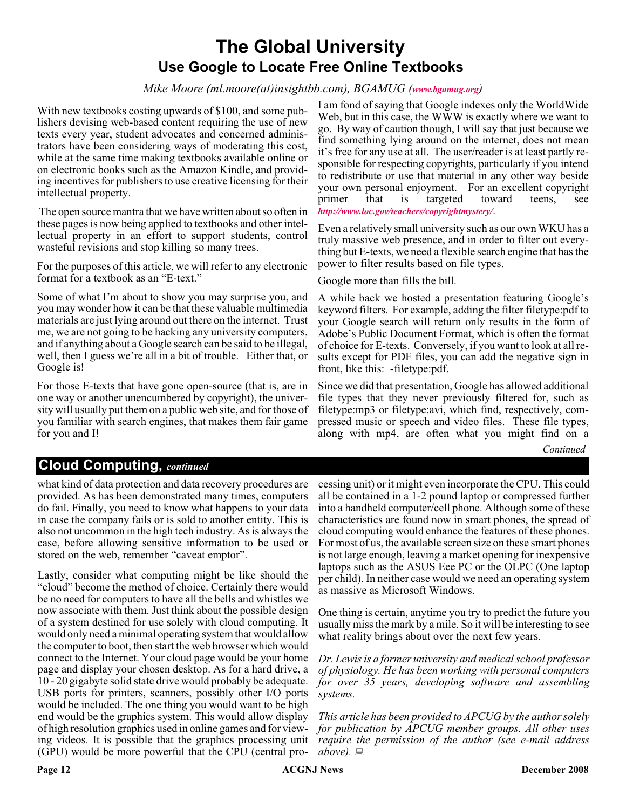### **The Global University Use Google to Locate Free Online Textbooks**

#### *Mike Moore (ml.moore(at)insightbb.com), BGAMUG ([www.bgamug.org](http://www.bgamug.org))*

With new textbooks costing upwards of \$100, and some publishers devising web-based content requiring the use of new texts every year, student advocates and concerned administrators have been considering ways of moderating this cost, while at the same time making textbooks available online or on electronic books such as the Amazon Kindle, and providing incentives for publishers to use creative licensing for their intellectual property.

The open source mantra that we have written about so often in these pages is now being applied to textbooks and other intellectual property in an effort to support students, control wasteful revisions and stop killing so many trees.

For the purposes of this article, we will refer to any electronic format for a textbook as an "E-text."

Some of what I'm about to show you may surprise you, and you may wonder how it can be that these valuable multimedia materials are just lying around out there on the internet. Trust me, we are not going to be hacking any university computers, and if anything about a Google search can be said to be illegal, well, then I guess we're all in a bit of trouble. Either that, or Google is!

For those E-texts that have gone open-source (that is, are in one way or another unencumbered by copyright), the university will usually put them on a public web site, and for those of you familiar with search engines, that makes them fair game for you and I!

I am fond of saying that Google indexes only the WorldWide Web, but in this case, the WWW is exactly where we want to go. By way of caution though, I will say that just because we find something lying around on the internet, does not mean it's free for any use at all. The user/reader is at least partly responsible for respecting copyrights, particularly if you intend to redistribute or use that material in any other way beside your own personal enjoyment. For an excellent copyright primer that is targeted toward teens, see *<http://www.loc.gov/teachers/copyrightmystery/>*.

Even a relatively small university such as our own WKU has a truly massive web presence, and in order to filter out everything but E-texts, we need a flexible search engine that has the power to filter results based on file types.

Google more than fills the bill.

A while back we hosted a presentation featuring Google's keyword filters. For example, adding the filter filetype:pdf to your Google search will return only results in the form of Adobe's Public Document Format, which is often the format of choice for E-texts. Conversely, if you want to look at all results except for PDF files, you can add the negative sign in front, like this: -filetype:pdf.

Since we did that presentation, Google has allowed additional file types that they never previously filtered for, such as filetype:mp3 or filetype:avi, which find, respectively, compressed music or speech and video files. These file types, along with mp4, are often what you might find on a

*Continued*

#### **Cloud Computing,** *continued*

what kind of data protection and data recovery procedures are provided. As has been demonstrated many times, computers do fail. Finally, you need to know what happens to your data in case the company fails or is sold to another entity. This is also not uncommon in the high tech industry. As is always the case, before allowing sensitive information to be used or stored on the web, remember "caveat emptor".

Lastly, consider what computing might be like should the "cloud" become the method of choice. Certainly there would be no need for computers to have all the bells and whistles we now associate with them. Just think about the possible design of a system destined for use solely with cloud computing. It would only need a minimal operating system that would allow the computer to boot, then start the web browser which would connect to the Internet. Your cloud page would be your home page and display your chosen desktop. As for a hard drive, a 10 - 20 gigabyte solid state drive would probably be adequate. USB ports for printers, scanners, possibly other I/O ports would be included. The one thing you would want to be high end would be the graphics system. This would allow display of high resolution graphics used in online games and for viewing videos. It is possible that the graphics processing unit (GPU) would be more powerful that the CPU (central pro-

cessing unit) or it might even incorporate the CPU. This could all be contained in a 1-2 pound laptop or compressed further into a handheld computer/cell phone. Although some of these characteristics are found now in smart phones, the spread of cloud computing would enhance the features of these phones. For most of us, the available screen size on these smart phones is not large enough, leaving a market opening for inexpensive laptops such as the ASUS Eee PC or the OLPC (One laptop per child). In neither case would we need an operating system as massive as Microsoft Windows.

One thing is certain, anytime you try to predict the future you usually miss the mark by a mile. So it will be interesting to see what reality brings about over the next few years.

*Dr. Lewis is a former university and medical school professor of physiology. He has been working with personal computers for over 35 years, developing software and assembling systems.*

*This article has been provided to APCUG by the author solely for publication by APCUG member groups. All other uses require the permission of the author (see e-mail address*  $above. \equiv$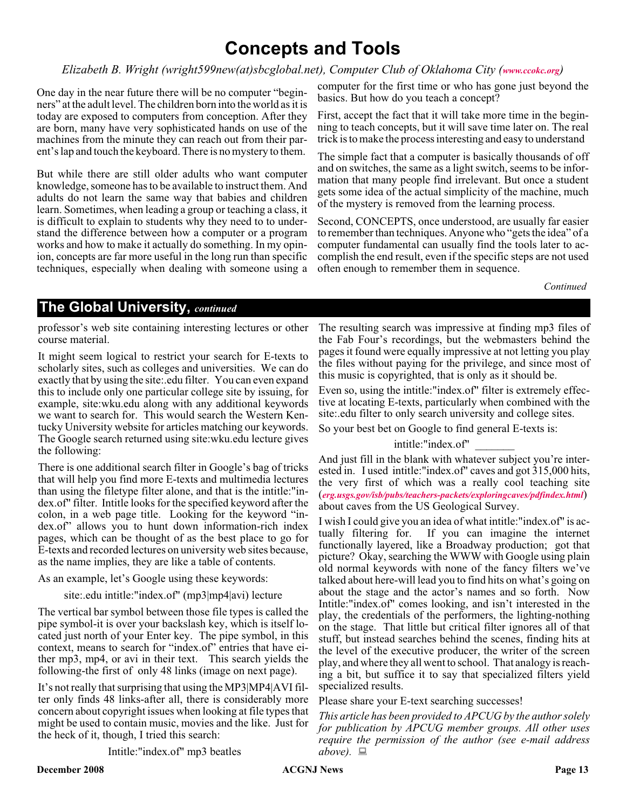### **Concepts and Tools**

#### *Elizabeth B. Wright (wright599new(at)sbcglobal.net), Computer Club of Oklahoma City ([www.ccokc.org](http://www.ccokc.org))*

One day in the near future there will be no computer "beginners" at the adult level. The children born into the world as it is today are exposed to computers from conception. After they are born, many have very sophisticated hands on use of the machines from the minute they can reach out from their parent's lap and touch the keyboard. There is no mystery to them.

But while there are still older adults who want computer knowledge, someone has to be available to instruct them. And adults do not learn the same way that babies and children learn. Sometimes, when leading a group or teaching a class, it is difficult to explain to students why they need to to understand the difference between how a computer or a program works and how to make it actually do something. In my opinion, concepts are far more useful in the long run than specific techniques, especially when dealing with someone using a computer for the first time or who has gone just beyond the basics. But how do you teach a concept?

First, accept the fact that it will take more time in the beginning to teach concepts, but it will save time later on. The real trick is to make the process interesting and easy to understand

The simple fact that a computer is basically thousands of off and on switches, the same as a light switch, seems to be information that many people find irrelevant. But once a student gets some idea of the actual simplicity of the machine, much of the mystery is removed from the learning process.

Second, CONCEPTS, once understood, are usually far easier to remember than techniques. Anyone who "gets the idea" of a computer fundamental can usually find the tools later to accomplish the end result, even if the specific steps are not used often enough to remember them in sequence.

*Continued*

#### **The Global University,** *continued*

professor's web site containing interesting lectures or other course material.

It might seem logical to restrict your search for E-texts to scholarly sites, such as colleges and universities. We can do exactly that by using the site:.edu filter. You can even expand this to include only one particular college site by issuing, for example, site:wku.edu along with any additional keywords we want to search for. This would search the Western Kentucky University website for articles matching our keywords. The Google search returned using site:wku.edu lecture gives the following:

There is one additional search filter in Google's bag of tricks that will help you find more E-texts and multimedia lectures than using the filetype filter alone, and that is the intitle:"index.of" filter. Intitle looks for the specified keyword after the colon, in a web page title. Looking for the keyword "index.of" allows you to hunt down information-rich index pages, which can be thought of as the best place to go for E-texts and recorded lectures on university web sites because, as the name implies, they are like a table of contents.

As an example, let's Google using these keywords:

site:.edu intitle:"index.of" (mp3|mp4|avi) lecture

The vertical bar symbol between those file types is called the pipe symbol-it is over your backslash key, which is itself located just north of your Enter key. The pipe symbol, in this context, means to search for "index.of" entries that have either mp3, mp4, or avi in their text. This search yields the following-the first of only 48 links (image on next page).

It's not really that surprising that using the MP3|MP4|AVI filter only finds 48 links-after all, there is considerably more concern about copyright issues when looking at file types that might be used to contain music, movies and the like. Just for the heck of it, though, I tried this search:

Intitle:"index.of" mp3 beatles

The resulting search was impressive at finding mp3 files of the Fab Four's recordings, but the webmasters behind the pages it found were equally impressive at not letting you play the files without paying for the privilege, and since most of this music is copyrighted, that is only as it should be.

Even so, using the intitle:"index.of" filter is extremely effective at locating E-texts, particularly when combined with the site:.edu filter to only search university and college sites.

So your best bet on Google to find general E-texts is:

intitle:"index.of" \_\_\_\_\_\_\_

And just fill in the blank with whatever subject you're interested in. I used intitle:"index.of" caves and got 315,000 hits, the very first of which was a really cool teaching site (*[erg.usgs.gov/isb/pubs/teachers-packets/exploringcaves/pdfindex.html](http://erg.usgs.gov/isb/pubs/teachers-packets/exploringcaves/pdfindex.html)*) about caves from the US Geological Survey.

I wish I could give you an idea of what intitle:"index.of" is actually filtering for. If you can imagine the internet functionally layered, like a Broadway production; got that picture? Okay, searching the WWW with Google using plain old normal keywords with none of the fancy filters we've talked about here-will lead you to find hits on what's going on about the stage and the actor's names and so forth. Now Intitle:"index.of" comes looking, and isn't interested in the play, the credentials of the performers, the lighting-nothing on the stage. That little but critical filter ignores all of that stuff, but instead searches behind the scenes, finding hits at the level of the executive producer, the writer of the screen play, and where they all went to school. That analogy is reaching a bit, but suffice it to say that specialized filters yield specialized results.

Please share your E-text searching successes!

*This article has been provided to APCUG by the author solely for publication by APCUG member groups. All other uses require the permission of the author (see e-mail address above).*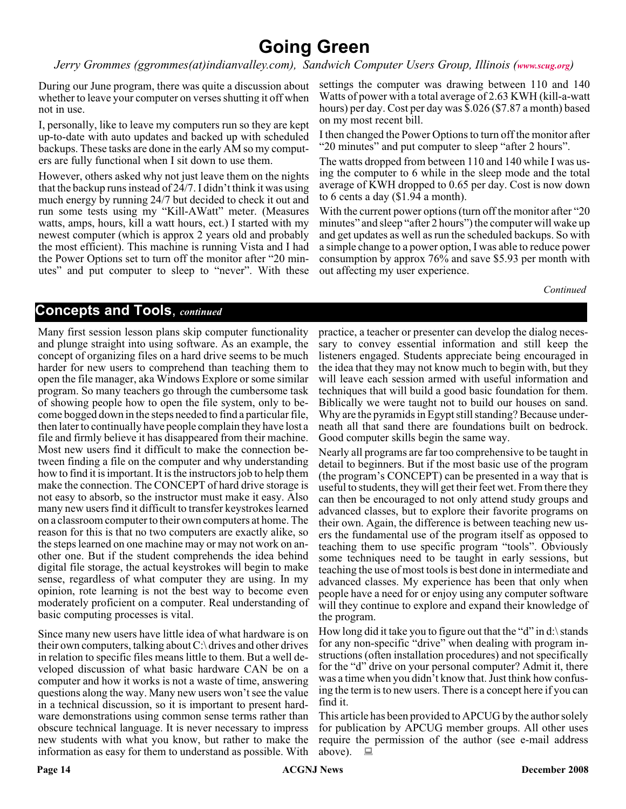### **Going Green**

*Jerry Grommes (ggrommes(at)indianvalley.com), Sandwich Computer Users Group, Illinois ([www.scug.org](http://www.scug.org))*

During our June program, there was quite a discussion about whether to leave your computer on verses shutting it off when not in use.

I, personally, like to leave my computers run so they are kept up-to-date with auto updates and backed up with scheduled backups. These tasks are done in the early AM so my computers are fully functional when I sit down to use them.

However, others asked why not just leave them on the nights that the backup runs instead of 24/7. I didn't think it was using much energy by running 24/7 but decided to check it out and run some tests using my "Kill-AWatt" meter. (Measures watts, amps, hours, kill a watt hours, ect.) I started with my newest computer (which is approx 2 years old and probably the most efficient). This machine is running Vista and I had the Power Options set to turn off the monitor after "20 minutes" and put computer to sleep to "never". With these

settings the computer was drawing between 110 and 140 Watts of power with a total average of 2.63 KWH (kill-a-watt hours) per day. Cost per day was \$.026 (\$7.87 a month) based on my most recent bill.

I then changed the Power Options to turn off the monitor after "20 minutes" and put computer to sleep "after 2 hours".

The watts dropped from between 110 and 140 while I was using the computer to 6 while in the sleep mode and the total average of KWH dropped to 0.65 per day. Cost is now down to 6 cents a day (\$1.94 a month).

With the current power options (turn off the monitor after "20") minutes" and sleep "after 2 hours") the computer will wake up and get updates as well as run the scheduled backups. So with a simple change to a power option, I was able to reduce power consumption by approx 76% and save \$5.93 per month with out affecting my user experience.

*Continued*

### **Concepts and Tools**, *continued*

Many first session lesson plans skip computer functionality and plunge straight into using software. As an example, the concept of organizing files on a hard drive seems to be much harder for new users to comprehend than teaching them to open the file manager, aka Windows Explore or some similar program. So many teachers go through the cumbersome task of showing people how to open the file system, only to become bogged down in the steps needed to find a particular file, then later to continually have people complain they have lost a file and firmly believe it has disappeared from their machine. Most new users find it difficult to make the connection between finding a file on the computer and why understanding how to find it is important. It is the instructors job to help them make the connection. The CONCEPT of hard drive storage is not easy to absorb, so the instructor must make it easy. Also many new users find it difficult to transfer keystrokes learned on a classroom computer to their own computers at home. The reason for this is that no two computers are exactly alike, so the steps learned on one machine may or may not work on another one. But if the student comprehends the idea behind digital file storage, the actual keystrokes will begin to make sense, regardless of what computer they are using. In my opinion, rote learning is not the best way to become even moderately proficient on a computer. Real understanding of basic computing processes is vital.

Since many new users have little idea of what hardware is on their own computers, talking about C:\ drives and other drives in relation to specific files means little to them. But a well developed discussion of what basic hardware CAN be on a computer and how it works is not a waste of time, answering questions along the way. Many new users won't see the value in a technical discussion, so it is important to present hardware demonstrations using common sense terms rather than obscure technical language. It is never necessary to impress new students with what you know, but rather to make the information as easy for them to understand as possible. With practice, a teacher or presenter can develop the dialog necessary to convey essential information and still keep the listeners engaged. Students appreciate being encouraged in the idea that they may not know much to begin with, but they will leave each session armed with useful information and techniques that will build a good basic foundation for them. Biblically we were taught not to build our houses on sand. Why are the pyramids in Egypt still standing? Because underneath all that sand there are foundations built on bedrock. Good computer skills begin the same way.

Nearly all programs are far too comprehensive to be taught in detail to beginners. But if the most basic use of the program (the program's CONCEPT) can be presented in a way that is useful to students, they will get their feet wet. From there they can then be encouraged to not only attend study groups and advanced classes, but to explore their favorite programs on their own. Again, the difference is between teaching new users the fundamental use of the program itself as opposed to teaching them to use specific program "tools". Obviously some techniques need to be taught in early sessions, but teaching the use of most tools is best done in intermediate and advanced classes. My experience has been that only when people have a need for or enjoy using any computer software will they continue to explore and expand their knowledge of the program.

How long did it take you to figure out that the "d" in d:\ stands for any non-specific "drive" when dealing with program instructions (often installation procedures) and not specifically for the "d" drive on your personal computer? Admit it, there was a time when you didn't know that. Just think how confusing the term is to new users. There is a concept here if you can find it.

This article has been provided to APCUG by the author solely for publication by APCUG member groups. All other uses require the permission of the author (see e-mail address above).  $\Box$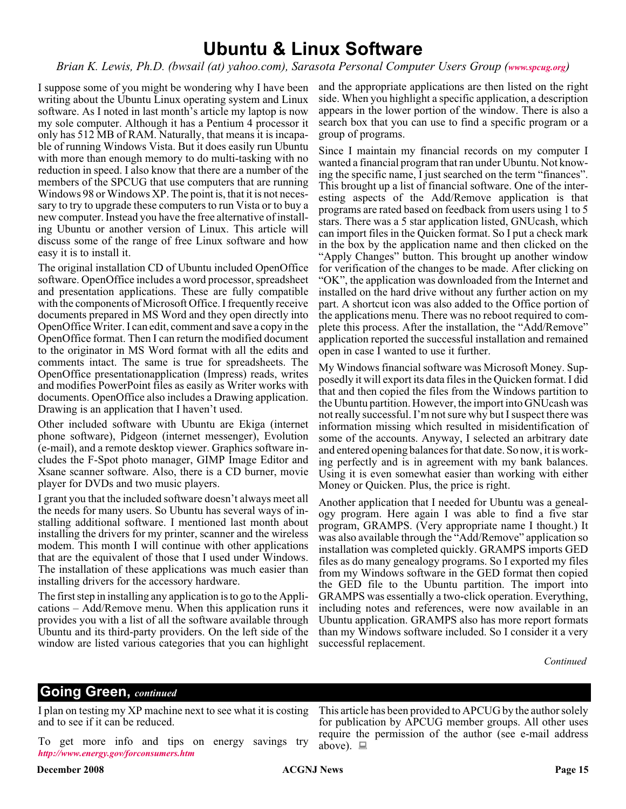### **Ubuntu & Linux Software**

#### *Brian K. Lewis, Ph.D. (bwsail (at) yahoo.com), Sarasota Personal Computer Users Group ([www.spcug.org](http://www.spcug.org))*

I suppose some of you might be wondering why I have been writing about the Ubuntu Linux operating system and Linux software. As I noted in last month's article my laptop is now my sole computer. Although it has a Pentium 4 processor it only has 512 MB of RAM. Naturally, that means it is incapable of running Windows Vista. But it does easily run Ubuntu with more than enough memory to do multi-tasking with no reduction in speed. I also know that there are a number of the members of the SPCUG that use computers that are running Windows 98 or Windows XP. The point is, that it is not necessary to try to upgrade these computers to run Vista or to buy a new computer. Instead you have the free alternative of installing Ubuntu or another version of Linux. This article will discuss some of the range of free Linux software and how easy it is to install it.

The original installation CD of Ubuntu included OpenOffice software. OpenOffice includes a word processor, spreadsheet and presentation applications. These are fully compatible with the components of Microsoft Office. I frequently receive documents prepared in MS Word and they open directly into OpenOffice Writer. I can edit, comment and save a copy in the OpenOffice format. Then I can return the modified document to the originator in MS Word format with all the edits and comments intact. The same is true for spreadsheets. The OpenOffice presentationapplication (Impress) reads, writes and modifies PowerPoint files as easily as Writer works with documents. OpenOffice also includes a Drawing application. Drawing is an application that I haven't used.

Other included software with Ubuntu are Ekiga (internet phone software), Pidgeon (internet messenger), Evolution (e-mail), and a remote desktop viewer. Graphics software includes the F-Spot photo manager, GIMP Image Editor and Xsane scanner software. Also, there is a CD burner, movie player for DVDs and two music players.

I grant you that the included software doesn't always meet all the needs for many users. So Ubuntu has several ways of installing additional software. I mentioned last month about installing the drivers for my printer, scanner and the wireless modem. This month I will continue with other applications that are the equivalent of those that I used under Windows. The installation of these applications was much easier than installing drivers for the accessory hardware.

The first step in installing any application is to go to the Applications – Add/Remove menu. When this application runs it provides you with a list of all the software available through Ubuntu and its third-party providers. On the left side of the window are listed various categories that you can highlight

and the appropriate applications are then listed on the right side. When you highlight a specific application, a description appears in the lower portion of the window. There is also a search box that you can use to find a specific program or a group of programs.

Since I maintain my financial records on my computer I wanted a financial program that ran under Ubuntu. Not knowing the specific name, I just searched on the term "finances". This brought up a list of financial software. One of the interesting aspects of the Add/Remove application is that programs are rated based on feedback from users using 1 to 5 stars. There was a 5 star application listed, GNUcash, which can import files in the Quicken format. So I put a check mark in the box by the application name and then clicked on the "Apply Changes" button. This brought up another window for verification of the changes to be made. After clicking on "OK", the application was downloaded from the Internet and installed on the hard drive without any further action on my part. A shortcut icon was also added to the Office portion of the applications menu. There was no reboot required to complete this process. After the installation, the "Add/Remove" application reported the successful installation and remained open in case I wanted to use it further.

My Windows financial software was Microsoft Money. Supposedly it will export its data files in the Quicken format. I did that and then copied the files from the Windows partition to the Ubuntu partition. However, the import into GNUcash was not really successful. I'm not sure why but I suspect there was information missing which resulted in misidentification of some of the accounts. Anyway, I selected an arbitrary date and entered opening balances for that date. So now, it is working perfectly and is in agreement with my bank balances. Using it is even somewhat easier than working with either Money or Quicken. Plus, the price is right.

Another application that I needed for Ubuntu was a genealogy program. Here again I was able to find a five star program, GRAMPS. (Very appropriate name I thought.) It was also available through the "Add/Remove" application so installation was completed quickly. GRAMPS imports GED files as do many genealogy programs. So I exported my files from my Windows software in the GED format then copied the GED file to the Ubuntu partition. The import into GRAMPS was essentially a two-click operation. Everything, including notes and references, were now available in an Ubuntu application. GRAMPS also has more report formats than my Windows software included. So I consider it a very successful replacement.

This article has been provided to APCUG by the author solely for publication by APCUG member groups. All other uses require the permission of the author (see e-mail address

*Continued*

#### **Going Green,** *continued*

I plan on testing my XP machine next to see what it is costing and to see if it can be reduced.

To get more info and tips on energy savings try *<http://www.energy.gov/forconsumers.htm>*

above).  $\Box$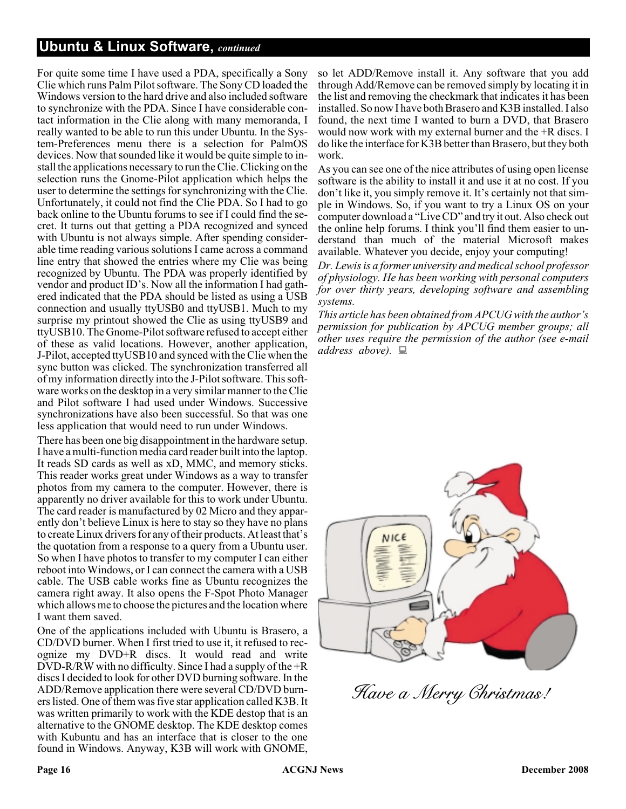#### **Ubuntu & Linux Software,** *continued*

For quite some time I have used a PDA, specifically a Sony Clie which runs Palm Pilot software. The Sony CD loaded the Windows version to the hard drive and also included software to synchronize with the PDA. Since I have considerable contact information in the Clie along with many memoranda, I really wanted to be able to run this under Ubuntu. In the System-Preferences menu there is a selection for PalmOS devices. Now that sounded like it would be quite simple to install the applications necessary to run the Clie. Clicking on the selection runs the Gnome-Pilot application which helps the user to determine the settings for synchronizing with the Clie. Unfortunately, it could not find the Clie PDA. So I had to go back online to the Ubuntu forums to see if I could find the secret. It turns out that getting a PDA recognized and synced with Ubuntu is not always simple. After spending considerable time reading various solutions I came across a command line entry that showed the entries where my Clie was being recognized by Ubuntu. The PDA was properly identified by vendor and product ID's. Now all the information I had gathered indicated that the PDA should be listed as using a USB connection and usually ttyUSB0 and ttyUSB1. Much to my surprise my printout showed the Clie as using ttyUSB9 and ttyUSB10. The Gnome-Pilot software refused to accept either of these as valid locations. However, another application, J-Pilot, accepted ttyUSB10 and synced with the Clie when the sync button was clicked. The synchronization transferred all of my information directly into the J-Pilot software. This software works on the desktop in a very similar manner to the Clie and Pilot software I had used under Windows. Successive synchronizations have also been successful. So that was one less application that would need to run under Windows.

There has been one big disappointment in the hardware setup. I have a multi-function media card reader built into the laptop. It reads SD cards as well as xD, MMC, and memory sticks. This reader works great under Windows as a way to transfer photos from my camera to the computer. However, there is apparently no driver available for this to work under Ubuntu. The card reader is manufactured by 02 Micro and they apparently don't believe Linux is here to stay so they have no plans to create Linux drivers for any of their products. At least that's the quotation from a response to a query from a Ubuntu user. So when I have photos to transfer to my computer I can either reboot into Windows, or I can connect the camera with a USB cable. The USB cable works fine as Ubuntu recognizes the camera right away. It also opens the F-Spot Photo Manager which allows me to choose the pictures and the location where I want them saved.

One of the applications included with Ubuntu is Brasero, a CD/DVD burner. When I first tried to use it, it refused to recognize my DVD+R discs. It would read and write DVD-R/RW with no difficulty. Since I had a supply of the +R discs I decided to look for other DVD burning software. In the ADD/Remove application there were several CD/DVD burners listed. One of them was five star application called K3B. It was written primarily to work with the KDE destop that is an alternative to the GNOME desktop. The KDE desktop comes with Kubuntu and has an interface that is closer to the one found in Windows. Anyway, K3B will work with GNOME,

so let ADD/Remove install it. Any software that you add through Add/Remove can be removed simply by locating it in the list and removing the checkmark that indicates it has been installed. So now I have both Brasero and K3B installed. I also found, the next time I wanted to burn a DVD, that Brasero would now work with my external burner and the +R discs. I do like the interface for K3B better than Brasero, but they both work.

As you can see one of the nice attributes of using open license software is the ability to install it and use it at no cost. If you don't like it, you simply remove it. It's certainly not that simple in Windows. So, if you want to try a Linux OS on your computer download a "Live CD" and try it out. Also check out the online help forums. I think you'll find them easier to understand than much of the material Microsoft makes available. Whatever you decide, enjoy your computing!

*Dr. Lewis is a former university and medical school professor of physiology. He has been working with personal computers for over thirty years, developing software and assembling systems.*

*This article has been obtained from APCUG with the author's permission for publication by APCUG member groups; all other uses require the permission of the author (see e-mail address above).*



Have a Merry Christmas!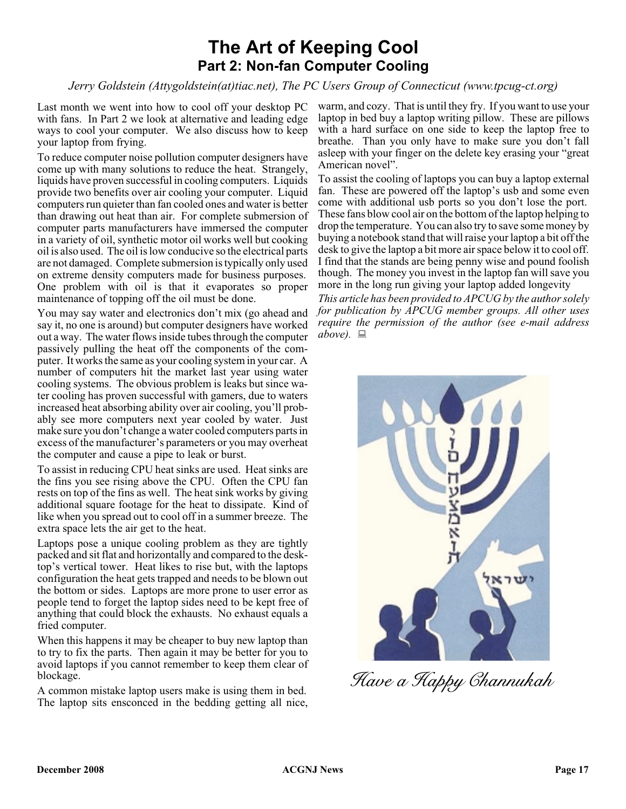### **The Art of Keeping Cool Part 2: Non-fan Computer Cooling**

*Jerry Goldstein (Attygoldstein(at)tiac.net), The PC Users Group of Connecticut (www.tpcug-ct.org)*

Last month we went into how to cool off your desktop PC with fans. In Part 2 we look at alternative and leading edge ways to cool your computer. We also discuss how to keep your laptop from frying.

To reduce computer noise pollution computer designers have come up with many solutions to reduce the heat. Strangely, liquids have proven successful in cooling computers. Liquids provide two benefits over air cooling your computer. Liquid computers run quieter than fan cooled ones and water is better than drawing out heat than air. For complete submersion of computer parts manufacturers have immersed the computer in a variety of oil, synthetic motor oil works well but cooking oil is also used. The oil is low conducive so the electrical parts are not damaged. Complete submersion is typically only used on extreme density computers made for business purposes. One problem with oil is that it evaporates so proper maintenance of topping off the oil must be done.

You may say water and electronics don't mix (go ahead and say it, no one is around) but computer designers have worked out a way. The water flows inside tubes through the computer passively pulling the heat off the components of the computer. It works the same as your cooling system in your car. A number of computers hit the market last year using water cooling systems. The obvious problem is leaks but since water cooling has proven successful with gamers, due to waters increased heat absorbing ability over air cooling, you'll probably see more computers next year cooled by water. Just make sure you don't change a water cooled computers parts in excess of the manufacturer's parameters or you may overheat the computer and cause a pipe to leak or burst.

To assist in reducing CPU heat sinks are used. Heat sinks are the fins you see rising above the CPU. Often the CPU fan rests on top of the fins as well. The heat sink works by giving additional square footage for the heat to dissipate. Kind of like when you spread out to cool off in a summer breeze. The extra space lets the air get to the heat.

Laptops pose a unique cooling problem as they are tightly packed and sit flat and horizontally and compared to the desktop's vertical tower. Heat likes to rise but, with the laptops configuration the heat gets trapped and needs to be blown out the bottom or sides. Laptops are more prone to user error as people tend to forget the laptop sides need to be kept free of anything that could block the exhausts. No exhaust equals a fried computer.

When this happens it may be cheaper to buy new laptop than to try to fix the parts. Then again it may be better for you to avoid laptops if you cannot remember to keep them clear of blockage.

A common mistake laptop users make is using them in bed. The laptop sits ensconced in the bedding getting all nice, warm, and cozy. That is until they fry. If you want to use your laptop in bed buy a laptop writing pillow. These are pillows with a hard surface on one side to keep the laptop free to breathe. Than you only have to make sure you don't fall asleep with your finger on the delete key erasing your "great American novel".

To assist the cooling of laptops you can buy a laptop external fan. These are powered off the laptop's usb and some even come with additional usb ports so you don't lose the port. These fans blow cool air on the bottom of the laptop helping to drop the temperature. You can also try to save some money by buying a notebook stand that will raise your laptop a bit off the desk to give the laptop a bit more air space below it to cool off. I find that the stands are being penny wise and pound foolish though. The money you invest in the laptop fan will save you more in the long run giving your laptop added longevity

*This article has been provided to APCUG by the author solely for publication by APCUG member groups. All other uses require the permission of the author (see e-mail address*  $above. \equiv$ 



Have a Happy Channukah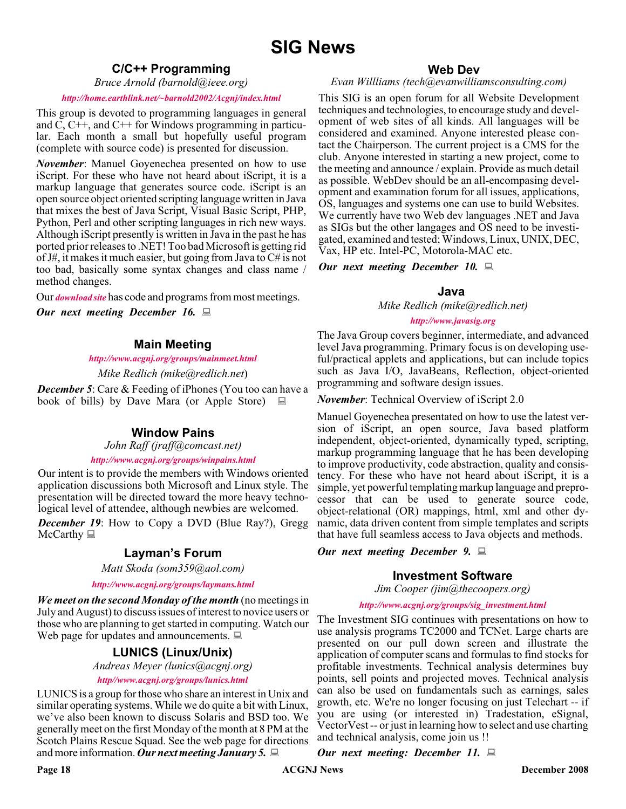#### **C/C++ Programming**

*Bruce Arnold (barnold@ieee.org)*

#### *<http://home.earthlink.net/~barnold2002/Acgnj/index.html>*

This group is devoted to programming languages in general and  $\overline{C}$ ,  $\overline{C}$ ++, and  $\overline{C}$ ++ for Windows programming in particular. Each month a small but hopefully useful program (complete with source code) is presented for discussion.

*November*: Manuel Goyenechea presented on how to use iScript. For these who have not heard about iScript, it is a markup language that generates source code. iScript is an open source object oriented scripting language written in Java that mixes the best of Java Script, Visual Basic Script, PHP, Python, Perl and other scripting languages in rich new ways. Although iScript presently is written in Java in the past he has ported prior releases to .NET! Too bad Microsoft is getting rid of J#, it makes it much easier, but going from Java to C# is not too bad, basically some syntax changes and class name / method changes.

Our *[download site](http://home.earthlink.net/~barnold2002/Acgnj/Download.htm)* has code and programs from most meetings.

*Our next meeting December 16.*

#### **Main Meeting**

#### *<http://www.acgnj.org/groups/mainmeet.html>*

*Mike Redlich (mike@redlich.net*)

*December 5:* Care & Feeding of iPhones (You too can have a book of bills) by Dave Mara (or Apple Store)  $\Box$ 

#### **Window Pains**

*John Raff (jraff@comcast.net)*

#### *<http://www.acgnj.org/groups/winpains.html>*

Our intent is to provide the members with Windows oriented application discussions both Microsoft and Linux style. The presentation will be directed toward the more heavy technological level of attendee, although newbies are welcomed.

*December 19*: How to Copy a DVD (Blue Ray?), Gregg  $McCarthy \equiv$ 

#### **Layman's Forum**

*Matt Skoda (som359@aol.com)*

*<http://www.acgnj.org/groups/laymans.html>*

*We meet on the second Monday of the month* (no meetings in July and August) to discuss issues of interest to novice users or those who are planning to get started in computing. Watch our Web page for updates and announcements.  $\Box$ 

#### **LUNICS (Linux/Unix)**

*Andreas Meyer (lunics@acgnj.org)*

#### *<http//www.acgnj.org/groups/lunics.html>*

LUNICS is a group for those who share an interest in Unix and similar operating systems. While we do quite a bit with Linux, we've also been known to discuss Solaris and BSD too. We generally meet on the first Monday of the month at 8 PM at the Scotch Plains Rescue Squad. See the web page for directions and more information. *Our next meeting January 5.*

#### **Web Dev**

#### *Evan Willliams (tech@evanwilliamsconsulting.com)*

This SIG is an open forum for all Website Development techniques and technologies, to encourage study and development of web sites of all kinds. All languages will be considered and examined. Anyone interested please contact the Chairperson. The current project is a CMS for the club. Anyone interested in starting a new project, come to the meeting and announce / explain. Provide as much detail as possible. WebDev should be an all-encompasing development and examination forum for all issues, applications, OS, languages and systems one can use to build Websites. We currently have two Web dev languages .NET and Java as SIGs but the other langages and OS need to be investigated, examined and tested; Windows, Linux, UNIX, DEC, Vax, HP etc. Intel-PC, Motorola-MAC etc.

#### *Our next meeting December 10.*

#### **Java**

*Mike Redlich (mike@redlich.net)*

#### *<http://www.javasig.org>*

The Java Group covers beginner, intermediate, and advanced level Java programming. Primary focus is on developing useful/practical applets and applications, but can include topics such as Java I/O, JavaBeans, Reflection, object-oriented programming and software design issues.

*November*: Technical Overview of iScript 2.0

Manuel Goyenechea presentated on how to use the latest version of iScript, an open source, Java based platform independent, object-oriented, dynamically typed, scripting, markup programming language that he has been developing to improve productivity, code abstraction, quality and consistency. For these who have not heard about iScript, it is a simple, yet powerful templating markup language and preprocessor that can be used to generate source code, object-relational (OR) mappings, html, xml and other dynamic, data driven content from simple templates and scripts that have full seamless access to Java objects and methods.

#### *Our next meeting December 9.*

#### **Investment Software**

*Jim Cooper (jim@thecoopers.org)*

#### *[http://www.acgnj.org/groups/sig\\_investment.html](http://www.acgnj.org/groups/sig_investment.html)*

The Investment SIG continues with presentations on how to use analysis programs TC2000 and TCNet. Large charts are presented on our pull down screen and illustrate the application of computer scans and formulas to find stocks for profitable investments. Technical analysis determines buy points, sell points and projected moves. Technical analysis can also be used on fundamentals such as earnings, sales growth, etc. We're no longer focusing on just Telechart -- if you are using (or interested in) Tradestation, eSignal, VectorVest -- or just in learning how to select and use charting and technical analysis, come join us !!

*Our next meeting: December 11.*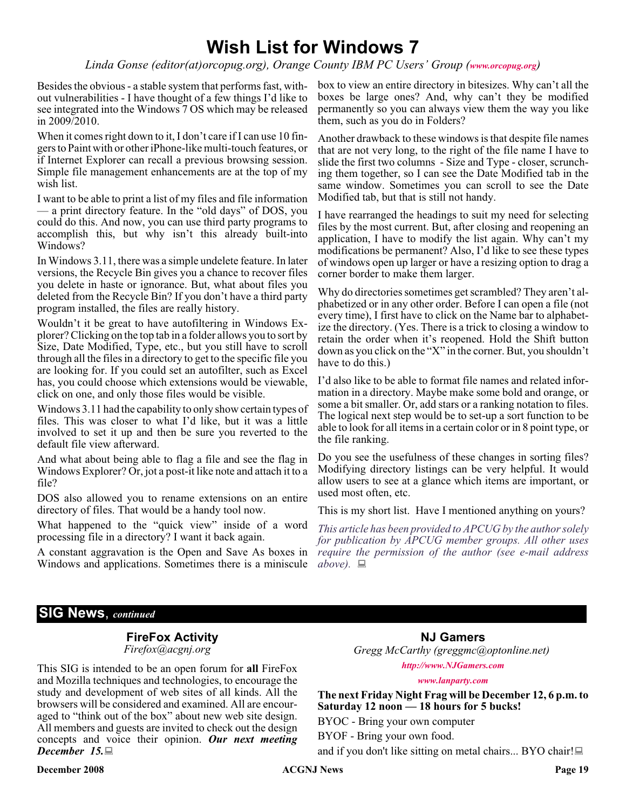### **Wish List for Windows 7**

*Linda Gonse (editor(at)orcopug.org), Orange County IBM PC Users' Group ([www.orcopug.org](http://www.orcopug.org))*

Besides the obvious - a stable system that performs fast, without vulnerabilities - I have thought of a few things I'd like to see integrated into the Windows 7 OS which may be released in 2009/2010.

When it comes right down to it, I don't care if I can use 10 fingers to Paint with or other iPhone-like multi-touch features, or if Internet Explorer can recall a previous browsing session. Simple file management enhancements are at the top of my wish list.

I want to be able to print a list of my files and file information — a print directory feature. In the "old days" of DOS, you could do this. And now, you can use third party programs to accomplish this, but why isn't this already built-into Windows?

In Windows 3.11, there was a simple undelete feature. In later versions, the Recycle Bin gives you a chance to recover files you delete in haste or ignorance. But, what about files you deleted from the Recycle Bin? If you don't have a third party program installed, the files are really history.

Wouldn't it be great to have autofiltering in Windows Explorer? Clicking on the top tab in a folder allows you to sort by Size, Date Modified, Type, etc., but you still have to scroll through all the files in a directory to get to the specific file you are looking for. If you could set an autofilter, such as Excel has, you could choose which extensions would be viewable, click on one, and only those files would be visible.

Windows 3.11 had the capability to only show certain types of files. This was closer to what I'd like, but it was a little involved to set it up and then be sure you reverted to the default file view afterward.

And what about being able to flag a file and see the flag in Windows Explorer? Or, jot a post-it like note and attach it to a file?

DOS also allowed you to rename extensions on an entire directory of files. That would be a handy tool now.

What happened to the "quick view" inside of a word processing file in a directory? I want it back again.

A constant aggravation is the Open and Save As boxes in *require the permission of the author (see e-mail address* Windows and applications. Sometimes there is a miniscule  $above$ .  $\Box$ 

box to view an entire directory in bitesizes. Why can't all the boxes be large ones? And, why can't they be modified permanently so you can always view them the way you like them, such as you do in Folders?

Another drawback to these windows is that despite file names that are not very long, to the right of the file name I have to slide the first two columns - Size and Type - closer, scrunching them together, so I can see the Date Modified tab in the same window. Sometimes you can scroll to see the Date Modified tab, but that is still not handy.

I have rearranged the headings to suit my need for selecting files by the most current. But, after closing and reopening an application, I have to modify the list again. Why can't my modifications be permanent? Also, I'd like to see these types of windows open up larger or have a resizing option to drag a corner border to make them larger.

Why do directories sometimes get scrambled? They aren't alphabetized or in any other order. Before I can open a file (not every time), I first have to click on the Name bar to alphabetize the directory. (Yes. There is a trick to closing a window to retain the order when it's reopened. Hold the Shift button down as you click on the "X" in the corner. But, you shouldn't have to do this.)

I'd also like to be able to format file names and related information in a directory. Maybe make some bold and orange, or some a bit smaller. Or, add stars or a ranking notation to files. The logical next step would be to set-up a sort function to be able to look for all items in a certain color or in 8 point type, or the file ranking.

Do you see the usefulness of these changes in sorting files? Modifying directory listings can be very helpful. It would allow users to see at a glance which items are important, or used most often, etc.

This is my short list. Have I mentioned anything on yours?

*This article has been provided to APCUG by the author solely for publication by APCUG member groups. All other uses*

#### **SIG News**, *continued*

### **FireFox Activity**

*Firefox@acgnj.org*

This SIG is intended to be an open forum for **all** FireFox and Mozilla techniques and technologies, to encourage the study and development of web sites of all kinds. All the browsers will be considered and examined. All are encouraged to "think out of the box" about new web site design. All members and guests are invited to check out the design concepts and voice their opinion. *Our next meeting December 15.*

**NJ Gamers** *Gregg McCarthy (greggmc@optonline.net) <http://www.NJGamers.com>*

*[www.lanparty.com](http://www.lanparty.com)*

**The next Friday Night Frag will be December 12, 6 p.m. to Saturday 12 noon — 18 hours for 5 bucks!**

BYOC - Bring your own computer BYOF - Bring your own food.

and if you don't like sitting on metal chairs... BYO chair!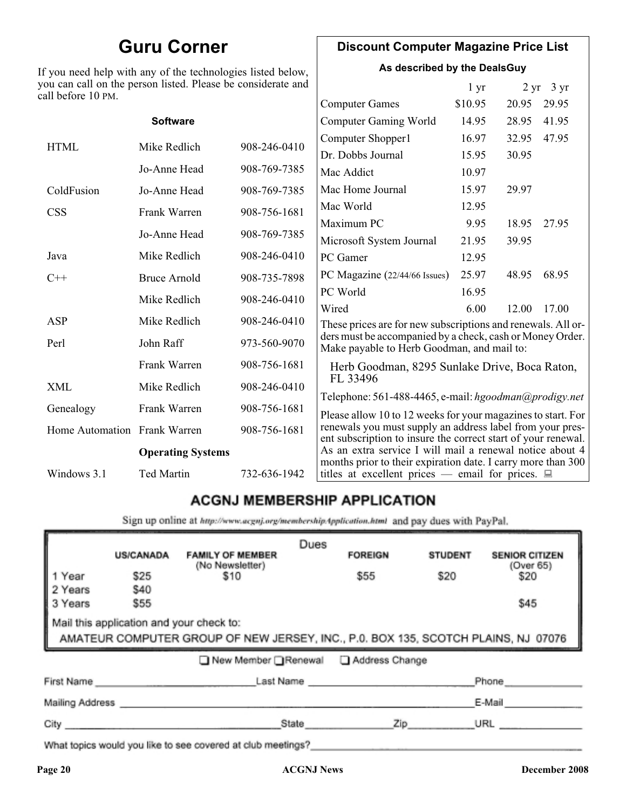### **Guru Corner**

If you need help with any of the technologies listed below, you can call on the person listed. Please be considerate and ca

#### **Discount Computer Magazine Price List**

**As described by the DealsGuy**

 $1 \text{ yr}$   $2 \text{ yr}$   $3 \text{ yr}$ 

| ll before 10 PM.             |                          |              |                                                                                                                            |         |       |       |
|------------------------------|--------------------------|--------------|----------------------------------------------------------------------------------------------------------------------------|---------|-------|-------|
|                              |                          |              | <b>Computer Games</b>                                                                                                      | \$10.95 | 20.95 | 29.95 |
|                              | <b>Software</b>          |              | <b>Computer Gaming World</b>                                                                                               | 14.95   | 28.95 | 41.95 |
| <b>HTML</b>                  | Mike Redlich             | 908-246-0410 | Computer Shopper1                                                                                                          | 16.97   | 32.95 | 47.95 |
|                              |                          |              | Dr. Dobbs Journal                                                                                                          | 15.95   | 30.95 |       |
|                              | Jo-Anne Head             | 908-769-7385 | Mac Addict                                                                                                                 | 10.97   |       |       |
| ColdFusion                   | Jo-Anne Head             | 908-769-7385 | Mac Home Journal                                                                                                           | 15.97   | 29.97 |       |
| <b>CSS</b>                   | Frank Warren             | 908-756-1681 | Mac World                                                                                                                  | 12.95   |       |       |
|                              |                          |              | Maximum PC                                                                                                                 | 9.95    | 18.95 | 27.95 |
|                              | Jo-Anne Head             | 908-769-7385 | Microsoft System Journal                                                                                                   | 21.95   | 39.95 |       |
| Java                         | Mike Redlich             | 908-246-0410 | PC Gamer                                                                                                                   | 12.95   |       |       |
| $C++$                        | <b>Bruce Arnold</b>      | 908-735-7898 | PC Magazine (22/44/66 Issues)                                                                                              | 25.97   | 48.95 | 68.95 |
|                              | Mike Redlich             | 908-246-0410 | PC World                                                                                                                   | 16.95   |       |       |
|                              |                          |              | Wired                                                                                                                      | 6.00    | 12.00 | 17.00 |
| ASP                          | Mike Redlich             | 908-246-0410 | These prices are for new subscriptions and renewals. All or-                                                               |         |       |       |
| Perl                         | John Raff                | 973-560-9070 | ders must be accompanied by a check, cash or Money Order.<br>Make payable to Herb Goodman, and mail to:                    |         |       |       |
|                              | Frank Warren             | 908-756-1681 | Herb Goodman, 8295 Sunlake Drive, Boca Raton,                                                                              |         |       |       |
| XML                          | Mike Redlich             | 908-246-0410 | FL 33496<br>Telephone: 561-488-4465, e-mail: hgoodman@prodigy.net                                                          |         |       |       |
| Genealogy                    | Frank Warren             | 908-756-1681 | Please allow 10 to 12 weeks for your magazines to start. For                                                               |         |       |       |
| Home Automation Frank Warren |                          | 908-756-1681 | renewals you must supply an address label from your pres-<br>ent subscription to insure the correct start of your renewal. |         |       |       |
|                              | <b>Operating Systems</b> |              | As an extra service I will mail a renewal notice about 4                                                                   |         |       |       |
| Windows 3.1                  | Ted Martin               | 732-636-1942 | months prior to their expiration date. I carry more than 300<br>titles at excellent prices — email for prices. $\Box$      |         |       |       |
|                              |                          |              |                                                                                                                            |         |       |       |

### **ACGNJ MEMBERSHIP APPLICATION**

Sign up online at http://www.acgnj.org/membershipApplication.html and pay dues with PayPal.

|                                                                                                                               | <b>US/CANADA</b> | <b>FAMILY OF MEMBER</b>                                                                                                                                                                                                        | Dues  | <b>FOREIGN</b> | <b>STUDENT</b> | <b>SENIOR CITIZEN</b> |
|-------------------------------------------------------------------------------------------------------------------------------|------------------|--------------------------------------------------------------------------------------------------------------------------------------------------------------------------------------------------------------------------------|-------|----------------|----------------|-----------------------|
| 1 Year                                                                                                                        | \$25             | (No Newsletter)<br>\$10                                                                                                                                                                                                        |       | \$55           | \$20           | (Over 65)<br>\$20     |
| 2 Years<br>3 Years                                                                                                            | \$40<br>\$55     |                                                                                                                                                                                                                                |       |                |                | \$45                  |
| Mail this application and your check to:<br>AMATEUR COMPUTER GROUP OF NEW JERSEY, INC., P.0. BOX 135, SCOTCH PLAINS, NJ 07076 |                  |                                                                                                                                                                                                                                |       |                |                |                       |
|                                                                                                                               |                  | ■ New Member Renewal ■ Address Change                                                                                                                                                                                          |       |                |                |                       |
| First Name                                                                                                                    |                  |                                                                                                                                                                                                                                |       | Last Name      |                | Phone                 |
| Mailing Address _                                                                                                             |                  |                                                                                                                                                                                                                                |       |                |                | E-Mail                |
| City <b>Communication</b>                                                                                                     |                  |                                                                                                                                                                                                                                | State | Zip            |                | URL                   |
|                                                                                                                               |                  | 19 and 19 and 19 and 19 and 19 and 19 and 19 and 19 and 19 and 19 and 19 and 19 and 19 and 19 and 19 and 19 and 19 and 19 and 19 and 19 and 19 and 19 and 19 and 19 and 19 and 19 and 19 and 19 and 19 and 19 and 19 and 19 an |       |                |                |                       |

What topics would you like to see covered at club meetings?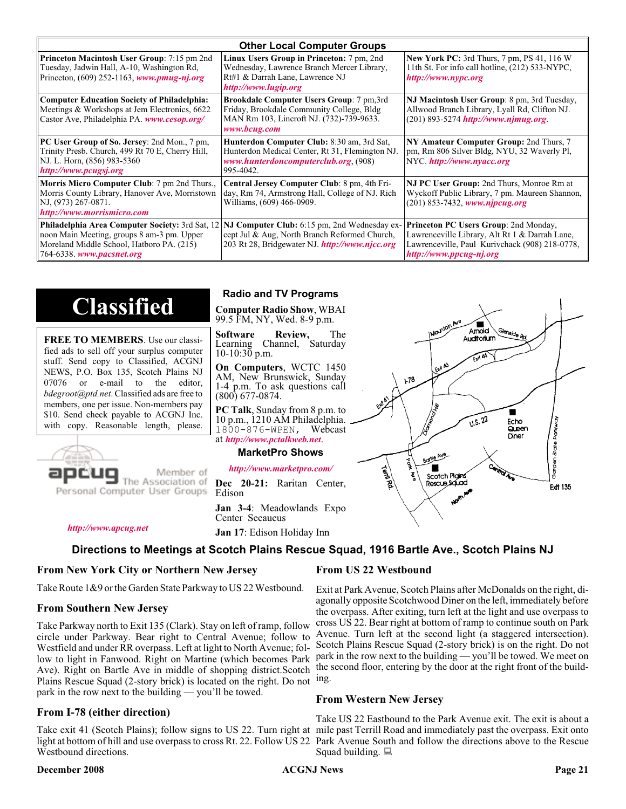| <b>Other Local Computer Groups</b>                                                                                                                         |                                                                                                                                                                                                        |                                                                                                                                                                             |  |  |  |
|------------------------------------------------------------------------------------------------------------------------------------------------------------|--------------------------------------------------------------------------------------------------------------------------------------------------------------------------------------------------------|-----------------------------------------------------------------------------------------------------------------------------------------------------------------------------|--|--|--|
| <b>Princeton Macintosh User Group:</b> 7:15 pm 2nd<br>Tuesday, Jadwin Hall, A-10, Washington Rd,<br>Princeton, $(609)$ 252-1163, www.pmug-nj.org           | Linux Users Group in Princeton: 7 pm, 2nd<br>Wednesday, Lawrence Branch Mercer Library,<br>Rt#1 & Darrah Lane, Lawrence NJ<br>http://www.lugip.org                                                     | <b>New York PC:</b> 3rd Thurs, 7 pm, PS 41, 116 W<br>11th St. For info call hotline, (212) 533-NYPC,<br>http://www.nypc.org                                                 |  |  |  |
| <b>Computer Education Society of Philadelphia:</b><br>Meetings & Workshops at Jem Electronics, 6622<br>Castor Ave, Philadelphia PA. www.cesop.org/         | <b>Brookdale Computer Users Group:</b> 7 pm, 3rd<br>Friday, Brookdale Community College, Bldg<br>MAN Rm 103, Lincroft NJ. (732)-739-9633.<br>www.bcug.com                                              | NJ Macintosh User Group: 8 pm, 3rd Tuesday,<br>Allwood Branch Library, Lyall Rd, Clifton NJ.<br>$(201)$ 893-5274 http://www.njmug.org.                                      |  |  |  |
| PC User Group of So. Jersey: 2nd Mon., 7 pm,<br>Trinity Presb. Church, 499 Rt 70 E, Cherry Hill,<br>NJ. L. Horn, (856) 983-5360<br>http://www.pcugsj.org   | Hunterdon Computer Club: 8:30 am, 3rd Sat,<br>Hunterdon Medical Center, Rt 31, Flemington NJ.<br>www.hunterdoncomputerclub.org (908)<br>995-4042.                                                      | NY Amateur Computer Group: 2nd Thurs, 7<br>pm, Rm 806 Silver Bldg, NYU, 32 Waverly Pl,<br>NYC.http://www.nyacc.org                                                          |  |  |  |
| <b>Morris Micro Computer Club:</b> 7 pm 2nd Thurs.,<br>Morris County Library, Hanover Ave, Morristown<br>NJ, (973) 267-0871.<br>http://www.morrismicro.com | Central Jersey Computer Club: 8 pm, 4th Fri-<br>day, Rm 74, Armstrong Hall, College of NJ. Rich<br>Williams, (609) 466-0909.                                                                           | NJ PC User Group: 2nd Thurs, Monroe Rm at<br>Wyckoff Public Library, 7 pm. Maureen Shannon,<br>$(201)$ 853-7432, www.njpcug.org                                             |  |  |  |
| noon Main Meeting, groups 8 am-3 pm. Upper<br>Moreland Middle School, Hatboro PA. (215)<br>764-6338. www.pacsnet.org                                       | <b>Philadelphia Area Computer Society: 3rd Sat, 12 NJ Computer Club: 6:15 pm, 2nd Wednesday ex-</b><br>cept Jul & Aug, North Branch Reformed Church,<br>203 Rt 28, Bridgewater NJ. http://www.njcc.org | <b>Princeton PC Users Group: 2nd Monday,</b><br>Lawrenceville Library, Alt Rt 1 & Darrah Lane,<br>Lawrenceville, Paul Kurivchack (908) 218-0778,<br>http://www.ppcug-nj.org |  |  |  |

## **Classified**

**FREE TO MEMBERS**. Use our classified ads to sell off your surplus computer stuff. Send copy to Classified, ACGNJ NEWS, P.O. Box 135, Scotch Plains NJ 07076 or e-mail to the editor, *bdegroot@ptd.net*. Classified ads are free to members, one per issue. Non-members pay \$10. Send check payable to ACGNJ Inc. with copy. Reasonable length, please.



Member of

The Association of Personal Computer User Groups

Center Secaucus

*<http://www.apcug.net>*

**Jan 17**: Edison Holiday Inn

#### **Directions to Meetings at Scotch Plains Rescue Squad, 1916 Bartle Ave., Scotch Plains NJ**

#### **From New York City or Northern New Jersey**

Take Route 1&9 or the Garden State Parkway to US 22 Westbound.

#### **From Southern New Jersey**

Take Parkway north to Exit 135 (Clark). Stay on left of ramp, follow circle under Parkway. Bear right to Central Avenue; follow to Westfield and under RR overpass. Left at light to North Avenue; follow to light in Fanwood. Right on Martine (which becomes Park Ave). Right on Bartle Ave in middle of shopping district.Scotch Plains Rescue Squad (2-story brick) is located on the right. Do not ing. park in the row next to the building — you'll be towed.

#### **From I-78 (either direction)**

Take exit 41 (Scotch Plains); follow signs to US 22. Turn right at mile past Terrill Road and immediately past the overpass. Exit onto light at bottom of hill and use overpass to cross Rt. 22. Follow US 22 Park Avenue South and follow the directions above to the Rescue Westbound directions.

#### **December 2008 Page 21 Page 21 Page 21 Page 21 Page 21**

#### **Radio and TV Programs**

**Computer Radio Show**, WBAI 99.5 FM, NY, Wed. 8-9 p.m.

**Software Review,** The Learning Channel, Saturday 10-10:30 p.m.

**On Computers**, WCTC 1450 AM, New Brunswick, Sunday 1-4 p.m. To ask questions call (800) 677-0874.

**PC Talk**, Sunday from 8 p.m. to 10 p.m., 1210 AM Philadelphia. 1800-876-WPEN, Webcast at *<http://www.pctalkweb.net>*.

#### **MarketPro Shows**

#### *<http://www.marketpro.com/>*

**Dec 20-21:** Raritan Center, Edison

**Jan 3-4**: Meadowlands Expo

#### **From US 22 Westbound**

Exit at Park Avenue, Scotch Plains after McDonalds on the right, diagonally opposite Scotchwood Diner on the left, immediately before the overpass. After exiting, turn left at the light and use overpass to cross US 22. Bear right at bottom of ramp to continue south on Park Avenue. Turn left at the second light (a staggered intersection). Scotch Plains Rescue Squad (2-story brick) is on the right. Do not park in the row next to the building — you'll be towed. We meet on the second floor, entering by the door at the right front of the build-

#### **From Western New Jersey**

Take US 22 Eastbound to the Park Avenue exit. The exit is about a Squad building.  $\Box$